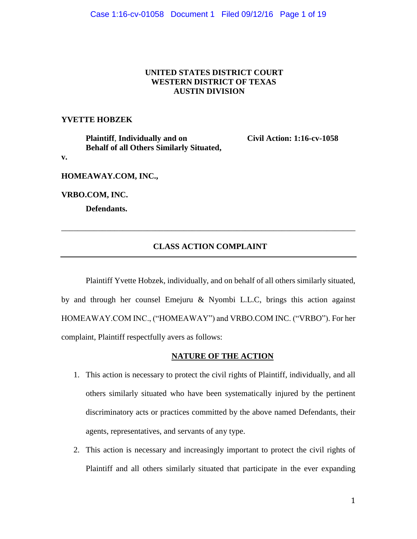#### **UNITED STATES DISTRICT COURT WESTERN DISTRICT OF TEXAS AUSTIN DIVISION**

#### **YVETTE HOBZEK**

**Plaintiff**, **Individually and on Civil Action: 1:16-cv-1058 Behalf of all Others Similarly Situated,** 

**v.**

**HOMEAWAY.COM, INC.,** 

**VRBO.COM, INC.**

**Defendants.**

### **CLASS ACTION COMPLAINT**

\_\_\_\_\_\_\_\_\_\_\_\_\_\_\_\_\_\_\_\_\_\_\_\_\_\_\_\_\_\_\_\_\_\_\_\_\_\_\_\_\_\_\_\_\_\_\_\_\_\_\_\_\_\_\_\_\_\_\_\_\_\_\_\_\_\_\_\_\_\_\_\_

Plaintiff Yvette Hobzek, individually, and on behalf of all others similarly situated, by and through her counsel Emejuru & Nyombi L.L.C, brings this action against HOMEAWAY.COM INC., ("HOMEAWAY") and VRBO.COM INC. ("VRBO"). For her complaint, Plaintiff respectfully avers as follows:

#### **NATURE OF THE ACTION**

- 1. This action is necessary to protect the civil rights of Plaintiff, individually, and all others similarly situated who have been systematically injured by the pertinent discriminatory acts or practices committed by the above named Defendants, their agents, representatives, and servants of any type.
- 2. This action is necessary and increasingly important to protect the civil rights of Plaintiff and all others similarly situated that participate in the ever expanding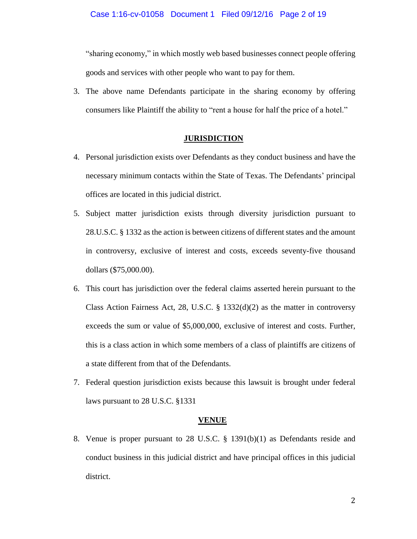"sharing economy," in which mostly web based businesses connect people offering goods and services with other people who want to pay for them.

3. The above name Defendants participate in the sharing economy by offering consumers like Plaintiff the ability to "rent a house for half the price of a hotel."

#### **JURISDICTION**

- 4. Personal jurisdiction exists over Defendants as they conduct business and have the necessary minimum contacts within the State of Texas. The Defendants' principal offices are located in this judicial district.
- 5. Subject matter jurisdiction exists through diversity jurisdiction pursuant to 28.U.S.C. § 1332 as the action is between citizens of different states and the amount in controversy, exclusive of interest and costs, exceeds seventy-five thousand dollars (\$75,000.00).
- 6. This court has jurisdiction over the federal claims asserted herein pursuant to the Class Action Fairness Act, 28, U.S.C.  $\S$  1332(d)(2) as the matter in controversy exceeds the sum or value of \$5,000,000, exclusive of interest and costs. Further, this is a class action in which some members of a class of plaintiffs are citizens of a state different from that of the Defendants.
- 7. Federal question jurisdiction exists because this lawsuit is brought under federal laws pursuant to 28 U.S.C. §1331

#### **VENUE**

8. Venue is proper pursuant to 28 U.S.C. § 1391(b)(1) as Defendants reside and conduct business in this judicial district and have principal offices in this judicial district.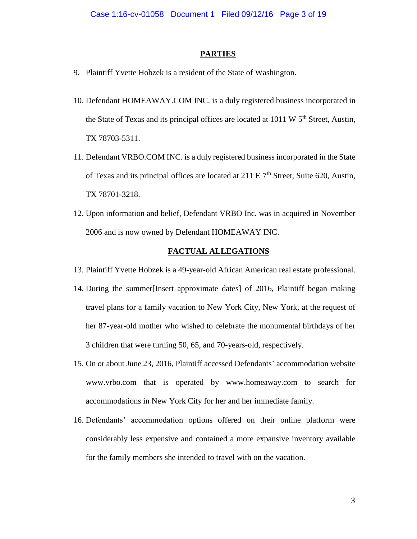#### **PARTIES**

- 9. Plaintiff Yvette Hobzek is a resident of the State of Washington.
- 10. Defendant HOMEAWAY.COM INC. is a duly registered business incorporated in the State of Texas and its principal offices are located at  $1011 \text{ W } 5^{\text{th}}$  Street, Austin, TX 78703-5311.
- 11. Defendant VRBO.COM INC. is a duly registered business incorporated in the State of Texas and its principal offices are located at  $211 \text{ E } 7^{\text{th}}$  Street, Suite 620, Austin, TX 78701-3218.
- 12. Upon information and belief, Defendant VRBO Inc. was in acquired in November 2006 and is now owned by Defendant HOMEAWAY INC.

#### **FACTUAL ALLEGATIONS**

- 13. Plaintiff Yvette Hobzek is a 49-year-old African American real estate professional.
- 14. During the summer[Insert approximate dates] of 2016, Plaintiff began making travel plans for a family vacation to New York City, New York, at the request of her 87-year-old mother who wished to celebrate the monumental birthdays of her 3 children that were turning 50, 65, and 70-years-old, respectively.
- 15. On or about June 23, 2016, Plaintiff accessed Defendants' accommodation website www.vrbo.com that is operated by www.homeaway.com to search for accommodations in New York City for her and her immediate family.
- 16. Defendants' accommodation options offered on their online platform were considerably less expensive and contained a more expansive inventory available for the family members she intended to travel with on the vacation.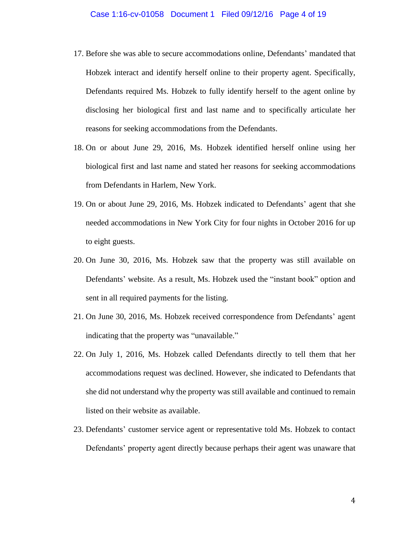- 17. Before she was able to secure accommodations online, Defendants' mandated that Hobzek interact and identify herself online to their property agent. Specifically, Defendants required Ms. Hobzek to fully identify herself to the agent online by disclosing her biological first and last name and to specifically articulate her reasons for seeking accommodations from the Defendants.
- 18. On or about June 29, 2016, Ms. Hobzek identified herself online using her biological first and last name and stated her reasons for seeking accommodations from Defendants in Harlem, New York.
- 19. On or about June 29, 2016, Ms. Hobzek indicated to Defendants' agent that she needed accommodations in New York City for four nights in October 2016 for up to eight guests.
- 20. On June 30, 2016, Ms. Hobzek saw that the property was still available on Defendants' website. As a result, Ms. Hobzek used the "instant book" option and sent in all required payments for the listing.
- 21. On June 30, 2016, Ms. Hobzek received correspondence from Defendants' agent indicating that the property was "unavailable."
- 22. On July 1, 2016, Ms. Hobzek called Defendants directly to tell them that her accommodations request was declined. However, she indicated to Defendants that she did not understand why the property was still available and continued to remain listed on their website as available.
- 23. Defendants' customer service agent or representative told Ms. Hobzek to contact Defendants' property agent directly because perhaps their agent was unaware that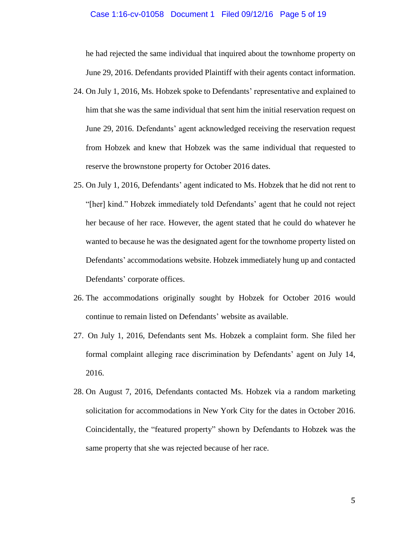#### Case 1:16-cv-01058 Document 1 Filed 09/12/16 Page 5 of 19

he had rejected the same individual that inquired about the townhome property on June 29, 2016. Defendants provided Plaintiff with their agents contact information.

- 24. On July 1, 2016, Ms. Hobzek spoke to Defendants' representative and explained to him that she was the same individual that sent him the initial reservation request on June 29, 2016. Defendants' agent acknowledged receiving the reservation request from Hobzek and knew that Hobzek was the same individual that requested to reserve the brownstone property for October 2016 dates.
- 25. On July 1, 2016, Defendants' agent indicated to Ms. Hobzek that he did not rent to "[her] kind." Hobzek immediately told Defendants' agent that he could not reject her because of her race. However, the agent stated that he could do whatever he wanted to because he was the designated agent for the townhome property listed on Defendants' accommodations website. Hobzek immediately hung up and contacted Defendants' corporate offices.
- 26. The accommodations originally sought by Hobzek for October 2016 would continue to remain listed on Defendants' website as available.
- 27. On July 1, 2016, Defendants sent Ms. Hobzek a complaint form. She filed her formal complaint alleging race discrimination by Defendants' agent on July 14, 2016.
- 28. On August 7, 2016, Defendants contacted Ms. Hobzek via a random marketing solicitation for accommodations in New York City for the dates in October 2016. Coincidentally, the "featured property" shown by Defendants to Hobzek was the same property that she was rejected because of her race.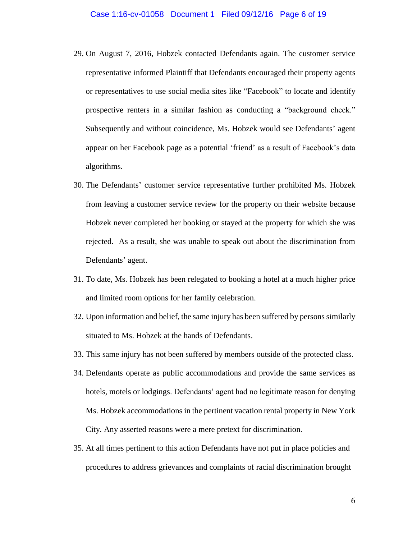- 29. On August 7, 2016, Hobzek contacted Defendants again. The customer service representative informed Plaintiff that Defendants encouraged their property agents or representatives to use social media sites like "Facebook" to locate and identify prospective renters in a similar fashion as conducting a "background check." Subsequently and without coincidence, Ms. Hobzek would see Defendants' agent appear on her Facebook page as a potential 'friend' as a result of Facebook's data algorithms.
- 30. The Defendants' customer service representative further prohibited Ms. Hobzek from leaving a customer service review for the property on their website because Hobzek never completed her booking or stayed at the property for which she was rejected. As a result, she was unable to speak out about the discrimination from Defendants' agent.
- 31. To date, Ms. Hobzek has been relegated to booking a hotel at a much higher price and limited room options for her family celebration.
- 32. Upon information and belief, the same injury has been suffered by persons similarly situated to Ms. Hobzek at the hands of Defendants.
- 33. This same injury has not been suffered by members outside of the protected class.
- 34. Defendants operate as public accommodations and provide the same services as hotels, motels or lodgings. Defendants' agent had no legitimate reason for denying Ms. Hobzek accommodations in the pertinent vacation rental property in New York City. Any asserted reasons were a mere pretext for discrimination.
- 35. At all times pertinent to this action Defendants have not put in place policies and procedures to address grievances and complaints of racial discrimination brought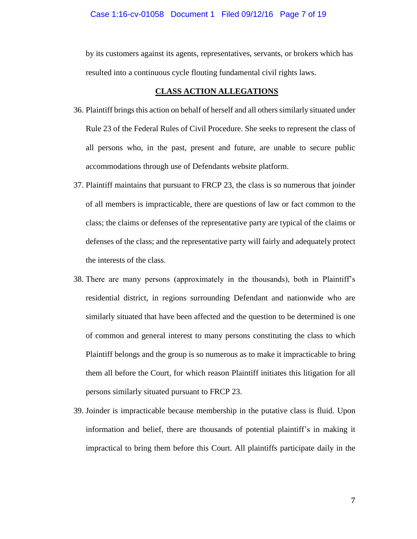#### Case 1:16-cv-01058 Document 1 Filed 09/12/16 Page 7 of 19

by its customers against its agents, representatives, servants, or brokers which has resulted into a continuous cycle flouting fundamental civil rights laws.

#### **CLASS ACTION ALLEGATIONS**

- 36. Plaintiff brings this action on behalf of herself and all otherssimilarly situated under Rule 23 of the Federal Rules of Civil Procedure. She seeks to represent the class of all persons who, in the past, present and future, are unable to secure public accommodations through use of Defendants website platform.
- 37. Plaintiff maintains that pursuant to FRCP 23, the class is so numerous that joinder of all members is impracticable, there are questions of law or fact common to the class; the claims or defenses of the representative party are typical of the claims or defenses of the class; and the representative party will fairly and adequately protect the interests of the class.
- 38. There are many persons (approximately in the thousands), both in Plaintiff's residential district, in regions surrounding Defendant and nationwide who are similarly situated that have been affected and the question to be determined is one of common and general interest to many persons constituting the class to which Plaintiff belongs and the group is so numerous as to make it impracticable to bring them all before the Court, for which reason Plaintiff initiates this litigation for all persons similarly situated pursuant to FRCP 23.
- 39. Joinder is impracticable because membership in the putative class is fluid. Upon information and belief, there are thousands of potential plaintiff's in making it impractical to bring them before this Court. All plaintiffs participate daily in the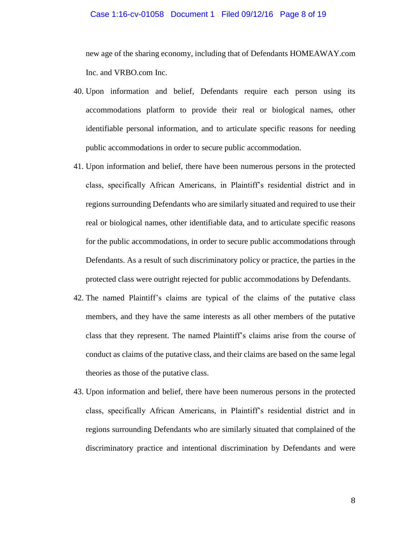#### Case 1:16-cv-01058 Document 1 Filed 09/12/16 Page 8 of 19

new age of the sharing economy, including that of Defendants HOMEAWAY.com Inc. and VRBO.com Inc.

- 40. Upon information and belief, Defendants require each person using its accommodations platform to provide their real or biological names, other identifiable personal information, and to articulate specific reasons for needing public accommodations in order to secure public accommodation.
- 41. Upon information and belief, there have been numerous persons in the protected class, specifically African Americans, in Plaintiff's residential district and in regions surrounding Defendants who are similarly situated and required to use their real or biological names, other identifiable data, and to articulate specific reasons for the public accommodations, in order to secure public accommodations through Defendants. As a result of such discriminatory policy or practice, the parties in the protected class were outright rejected for public accommodations by Defendants.
- 42. The named Plaintiff's claims are typical of the claims of the putative class members, and they have the same interests as all other members of the putative class that they represent. The named Plaintiff's claims arise from the course of conduct as claims of the putative class, and their claims are based on the same legal theories as those of the putative class.
- 43. Upon information and belief, there have been numerous persons in the protected class, specifically African Americans, in Plaintiff's residential district and in regions surrounding Defendants who are similarly situated that complained of the discriminatory practice and intentional discrimination by Defendants and were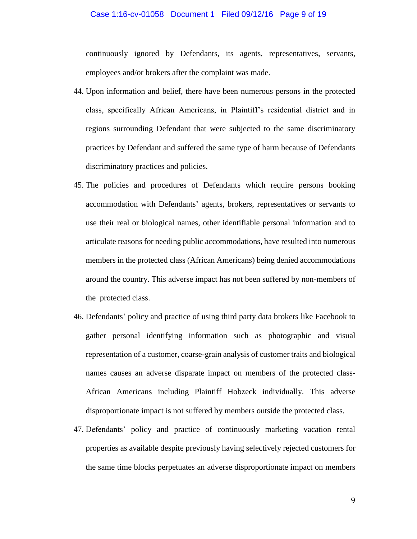#### Case 1:16-cv-01058 Document 1 Filed 09/12/16 Page 9 of 19

continuously ignored by Defendants, its agents, representatives, servants, employees and/or brokers after the complaint was made.

- 44. Upon information and belief, there have been numerous persons in the protected class, specifically African Americans, in Plaintiff's residential district and in regions surrounding Defendant that were subjected to the same discriminatory practices by Defendant and suffered the same type of harm because of Defendants discriminatory practices and policies.
- 45. The policies and procedures of Defendants which require persons booking accommodation with Defendants' agents, brokers, representatives or servants to use their real or biological names, other identifiable personal information and to articulate reasons for needing public accommodations, have resulted into numerous members in the protected class (African Americans) being denied accommodations around the country. This adverse impact has not been suffered by non-members of the protected class.
- 46. Defendants' policy and practice of using third party data brokers like Facebook to gather personal identifying information such as photographic and visual representation of a customer, coarse-grain analysis of customer traits and biological names causes an adverse disparate impact on members of the protected class-African Americans including Plaintiff Hobzeck individually. This adverse disproportionate impact is not suffered by members outside the protected class.
- 47. Defendants' policy and practice of continuously marketing vacation rental properties as available despite previously having selectively rejected customers for the same time blocks perpetuates an adverse disproportionate impact on members

9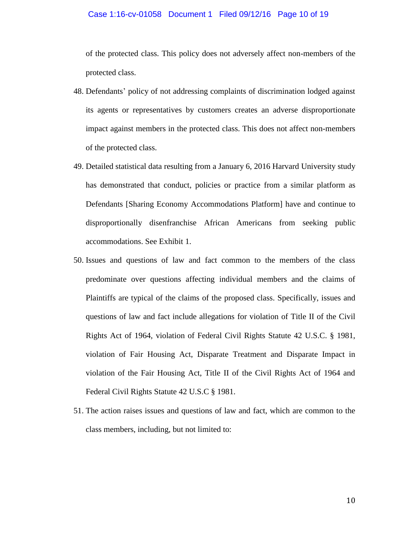#### Case 1:16-cv-01058 Document 1 Filed 09/12/16 Page 10 of 19

of the protected class. This policy does not adversely affect non-members of the protected class.

- 48. Defendants' policy of not addressing complaints of discrimination lodged against its agents or representatives by customers creates an adverse disproportionate impact against members in the protected class. This does not affect non-members of the protected class.
- 49. Detailed statistical data resulting from a January 6, 2016 Harvard University study has demonstrated that conduct, policies or practice from a similar platform as Defendants [Sharing Economy Accommodations Platform] have and continue to disproportionally disenfranchise African Americans from seeking public accommodations. See Exhibit 1.
- 50. Issues and questions of law and fact common to the members of the class predominate over questions affecting individual members and the claims of Plaintiffs are typical of the claims of the proposed class. Specifically, issues and questions of law and fact include allegations for violation of Title II of the Civil Rights Act of 1964, violation of Federal Civil Rights Statute 42 U.S.C. § 1981, violation of Fair Housing Act, Disparate Treatment and Disparate Impact in violation of the Fair Housing Act, Title II of the Civil Rights Act of 1964 and Federal Civil Rights Statute 42 U.S.C § 1981.
- 51. The action raises issues and questions of law and fact, which are common to the class members, including, but not limited to: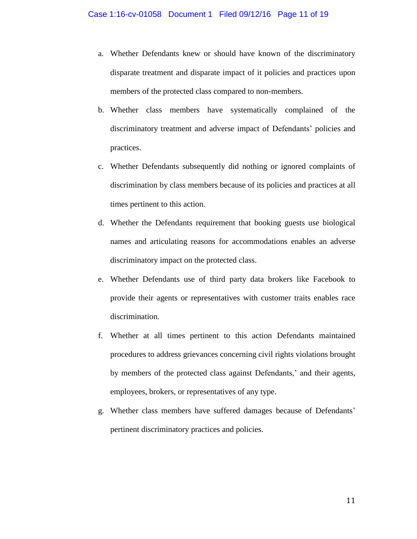- a. Whether Defendants knew or should have known of the discriminatory disparate treatment and disparate impact of it policies and practices upon members of the protected class compared to non-members.
- b. Whether class members have systematically complained of the discriminatory treatment and adverse impact of Defendants' policies and practices.
- c. Whether Defendants subsequently did nothing or ignored complaints of discrimination by class members because of its policies and practices at all times pertinent to this action.
- d. Whether the Defendants requirement that booking guests use biological names and articulating reasons for accommodations enables an adverse discriminatory impact on the protected class.
- e. Whether Defendants use of third party data brokers like Facebook to provide their agents or representatives with customer traits enables race discrimination.
- f. Whether at all times pertinent to this action Defendants maintained procedures to address grievances concerning civil rights violations brought by members of the protected class against Defendants,' and their agents, employees, brokers, or representatives of any type.
- g. Whether class members have suffered damages because of Defendants' pertinent discriminatory practices and policies.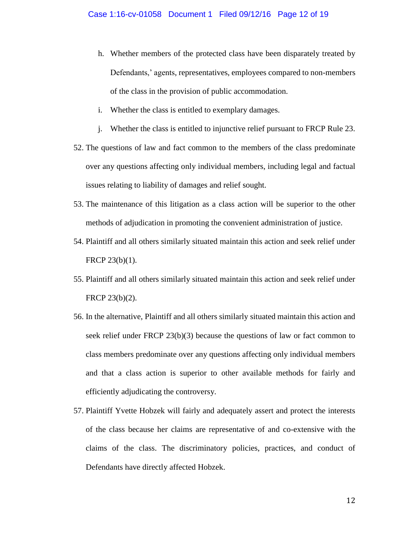- h. Whether members of the protected class have been disparately treated by Defendants,' agents, representatives, employees compared to non-members of the class in the provision of public accommodation.
- i. Whether the class is entitled to exemplary damages.
- j. Whether the class is entitled to injunctive relief pursuant to FRCP Rule 23.
- 52. The questions of law and fact common to the members of the class predominate over any questions affecting only individual members, including legal and factual issues relating to liability of damages and relief sought.
- 53. The maintenance of this litigation as a class action will be superior to the other methods of adjudication in promoting the convenient administration of justice.
- 54. Plaintiff and all others similarly situated maintain this action and seek relief under FRCP 23(b)(1).
- 55. Plaintiff and all others similarly situated maintain this action and seek relief under FRCP 23(b)(2).
- 56. In the alternative, Plaintiff and all others similarly situated maintain this action and seek relief under FRCP 23(b)(3) because the questions of law or fact common to class members predominate over any questions affecting only individual members and that a class action is superior to other available methods for fairly and efficiently adjudicating the controversy.
- 57. Plaintiff Yvette Hobzek will fairly and adequately assert and protect the interests of the class because her claims are representative of and co-extensive with the claims of the class. The discriminatory policies, practices, and conduct of Defendants have directly affected Hobzek.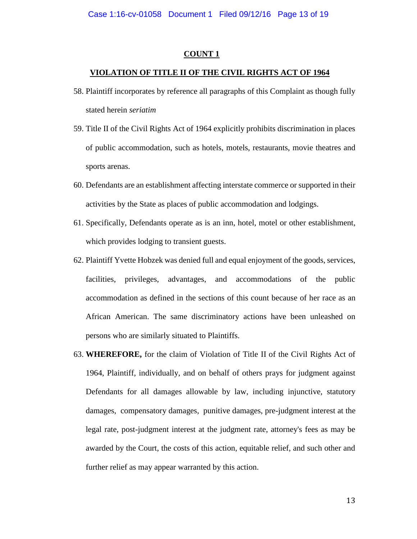#### **COUNT 1**

#### **VIOLATION OF TITLE II OF THE CIVIL RIGHTS ACT OF 1964**

- 58. Plaintiff incorporates by reference all paragraphs of this Complaint as though fully stated herein *seriatim*
- 59. Title II of the Civil Rights Act of 1964 explicitly prohibits discrimination in places of public accommodation, such as hotels, motels, restaurants, movie theatres and sports arenas.
- 60. Defendants are an establishment affecting interstate commerce or supported in their activities by the State as places of public accommodation and lodgings.
- 61. Specifically, Defendants operate as is an inn, hotel, motel or other establishment, which provides lodging to transient guests.
- 62. Plaintiff Yvette Hobzek was denied full and equal enjoyment of the goods, services, facilities, privileges, advantages, and accommodations of the public accommodation as defined in the sections of this count because of her race as an African American. The same discriminatory actions have been unleashed on persons who are similarly situated to Plaintiffs.
- 63. **WHEREFORE,** for the claim of Violation of Title II of the Civil Rights Act of 1964, Plaintiff, individually, and on behalf of others prays for judgment against Defendants for all damages allowable by law, including injunctive, statutory damages, compensatory damages, punitive damages, pre-judgment interest at the legal rate, post-judgment interest at the judgment rate, attorney's fees as may be awarded by the Court, the costs of this action, equitable relief, and such other and further relief as may appear warranted by this action.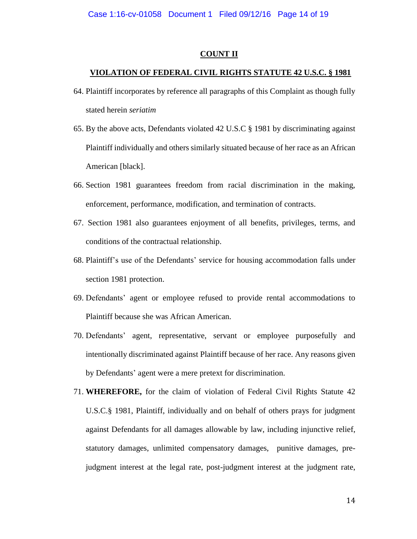#### **COUNT II**

#### **VIOLATION OF FEDERAL CIVIL RIGHTS STATUTE 42 U.S.C. § 1981**

- 64. Plaintiff incorporates by reference all paragraphs of this Complaint as though fully stated herein *seriatim*
- 65. By the above acts, Defendants violated 42 U.S.C § 1981 by discriminating against Plaintiff individually and others similarly situated because of her race as an African American [black].
- 66. Section 1981 guarantees freedom from racial discrimination in the making, enforcement, performance, modification, and termination of contracts.
- 67. Section 1981 also guarantees enjoyment of all benefits, privileges, terms, and conditions of the contractual relationship.
- 68. Plaintiff's use of the Defendants' service for housing accommodation falls under section 1981 protection.
- 69. Defendants' agent or employee refused to provide rental accommodations to Plaintiff because she was African American.
- 70. Defendants' agent, representative, servant or employee purposefully and intentionally discriminated against Plaintiff because of her race. Any reasons given by Defendants' agent were a mere pretext for discrimination.
- 71. **WHEREFORE,** for the claim of violation of Federal Civil Rights Statute 42 U.S.C.§ 1981, Plaintiff, individually and on behalf of others prays for judgment against Defendants for all damages allowable by law, including injunctive relief, statutory damages, unlimited compensatory damages, punitive damages, prejudgment interest at the legal rate, post-judgment interest at the judgment rate,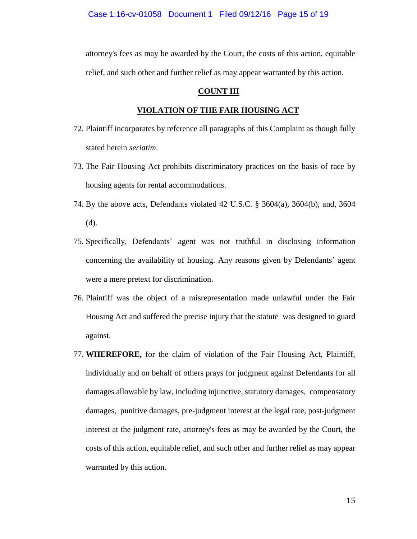attorney's fees as may be awarded by the Court, the costs of this action, equitable relief, and such other and further relief as may appear warranted by this action.

#### **COUNT III**

#### **VIOLATION OF THE FAIR HOUSING ACT**

- 72. Plaintiff incorporates by reference all paragraphs of this Complaint as though fully stated herein *seriatim*.
- 73. The Fair Housing Act prohibits discriminatory practices on the basis of race by housing agents for rental accommodations.
- 74. By the above acts, Defendants violated 42 U.S.C. § 3604(a), 3604(b), and, 3604 (d).
- 75. Specifically, Defendants' agent was not truthful in disclosing information concerning the availability of housing. Any reasons given by Defendants' agent were a mere pretext for discrimination.
- 76. Plaintiff was the object of a misrepresentation made unlawful under the Fair Housing Act and suffered the precise injury that the statute was designed to guard against.
- 77. **WHEREFORE,** for the claim of violation of the Fair Housing Act, Plaintiff, individually and on behalf of others prays for judgment against Defendants for all damages allowable by law, including injunctive, statutory damages, compensatory damages, punitive damages, pre-judgment interest at the legal rate, post-judgment interest at the judgment rate, attorney's fees as may be awarded by the Court, the costs of this action, equitable relief, and such other and further relief as may appear warranted by this action.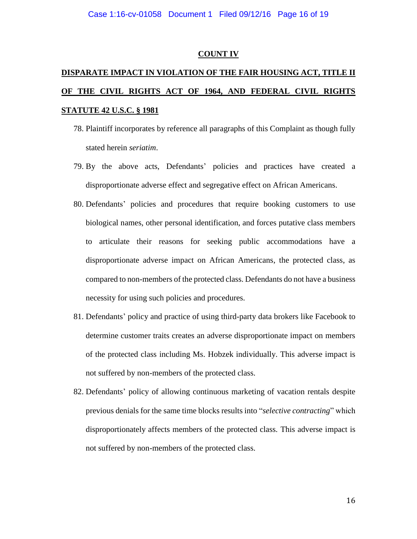#### **COUNT IV**

# **DISPARATE IMPACT IN VIOLATION OF THE FAIR HOUSING ACT, TITLE II OF THE CIVIL RIGHTS ACT OF 1964, AND FEDERAL CIVIL RIGHTS STATUTE 42 U.S.C. § 1981**

- 78. Plaintiff incorporates by reference all paragraphs of this Complaint as though fully stated herein *seriatim*.
- 79. By the above acts, Defendants' policies and practices have created a disproportionate adverse effect and segregative effect on African Americans.
- 80. Defendants' policies and procedures that require booking customers to use biological names, other personal identification, and forces putative class members to articulate their reasons for seeking public accommodations have a disproportionate adverse impact on African Americans, the protected class, as compared to non-members of the protected class. Defendants do not have a business necessity for using such policies and procedures.
- 81. Defendants' policy and practice of using third-party data brokers like Facebook to determine customer traits creates an adverse disproportionate impact on members of the protected class including Ms. Hobzek individually. This adverse impact is not suffered by non-members of the protected class.
- 82. Defendants' policy of allowing continuous marketing of vacation rentals despite previous denials for the same time blocks results into "*selective contracting*" which disproportionately affects members of the protected class. This adverse impact is not suffered by non-members of the protected class.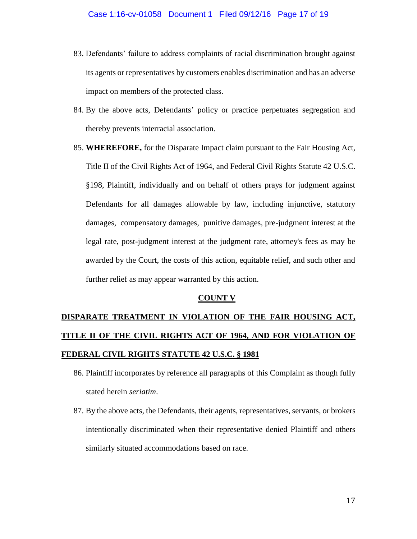- 83. Defendants' failure to address complaints of racial discrimination brought against its agents or representatives by customers enables discrimination and has an adverse impact on members of the protected class.
- 84. By the above acts, Defendants' policy or practice perpetuates segregation and thereby prevents interracial association.
- 85. **WHEREFORE,** for the Disparate Impact claim pursuant to the Fair Housing Act, Title II of the Civil Rights Act of 1964, and Federal Civil Rights Statute 42 U.S.C. §198, Plaintiff, individually and on behalf of others prays for judgment against Defendants for all damages allowable by law, including injunctive, statutory damages, compensatory damages, punitive damages, pre-judgment interest at the legal rate, post-judgment interest at the judgment rate, attorney's fees as may be awarded by the Court, the costs of this action, equitable relief, and such other and further relief as may appear warranted by this action.

#### **COUNT V**

# **DISPARATE TREATMENT IN VIOLATION OF THE FAIR HOUSING ACT, TITLE II OF THE CIVIL RIGHTS ACT OF 1964, AND FOR VIOLATION OF FEDERAL CIVIL RIGHTS STATUTE 42 U.S.C. § 1981**

- 86. Plaintiff incorporates by reference all paragraphs of this Complaint as though fully stated herein *seriatim*.
- 87. By the above acts, the Defendants, their agents, representatives, servants, or brokers intentionally discriminated when their representative denied Plaintiff and others similarly situated accommodations based on race.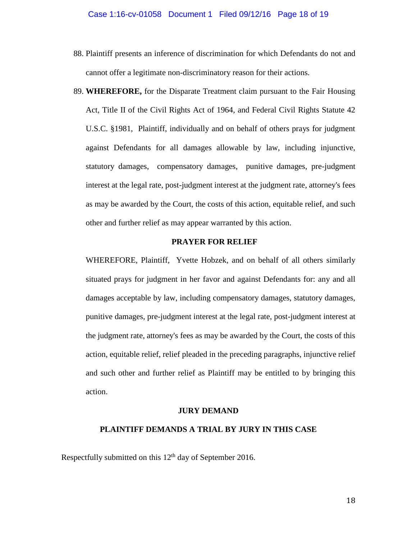- 88. Plaintiff presents an inference of discrimination for which Defendants do not and cannot offer a legitimate non-discriminatory reason for their actions.
- 89. **WHEREFORE,** for the Disparate Treatment claim pursuant to the Fair Housing Act, Title II of the Civil Rights Act of 1964, and Federal Civil Rights Statute 42 U.S.C. §1981, Plaintiff, individually and on behalf of others prays for judgment against Defendants for all damages allowable by law, including injunctive, statutory damages, compensatory damages, punitive damages, pre-judgment interest at the legal rate, post-judgment interest at the judgment rate, attorney's fees as may be awarded by the Court, the costs of this action, equitable relief, and such other and further relief as may appear warranted by this action.

#### **PRAYER FOR RELIEF**

WHEREFORE, Plaintiff, Yvette Hobzek, and on behalf of all others similarly situated prays for judgment in her favor and against Defendants for: any and all damages acceptable by law, including compensatory damages, statutory damages, punitive damages, pre-judgment interest at the legal rate, post-judgment interest at the judgment rate, attorney's fees as may be awarded by the Court, the costs of this action, equitable relief, relief pleaded in the preceding paragraphs, injunctive relief and such other and further relief as Plaintiff may be entitled to by bringing this action.

#### **JURY DEMAND**

#### **PLAINTIFF DEMANDS A TRIAL BY JURY IN THIS CASE**

Respectfully submitted on this  $12<sup>th</sup>$  day of September 2016.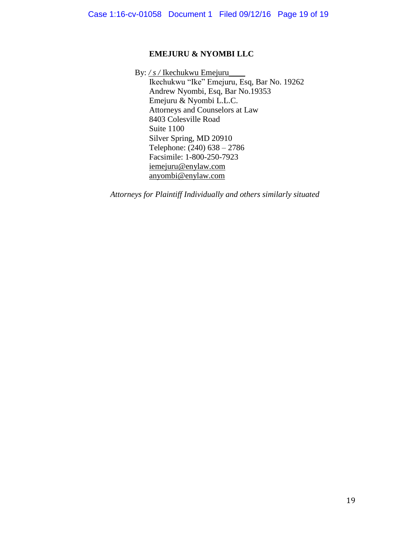### **EMEJURU & NYOMBI LLC**

By: */ s /* Ikechukwu Emejuru\_\_\_\_

 Ikechukwu "Ike" Emejuru, Esq, Bar No. 19262 Andrew Nyombi, Esq, Bar No.19353 Emejuru & Nyombi L.L.C. Attorneys and Counselors at Law 8403 Colesville Road Suite 1100 Silver Spring, MD 20910 Telephone: (240) 638 – 2786 Facsimile: 1-800-250-7923 [iemejuru@enylaw.com](mailto:iemejuru@enylaw.com) anyombi@enylaw.com

*Attorneys for Plaintiff Individually and others similarly situated*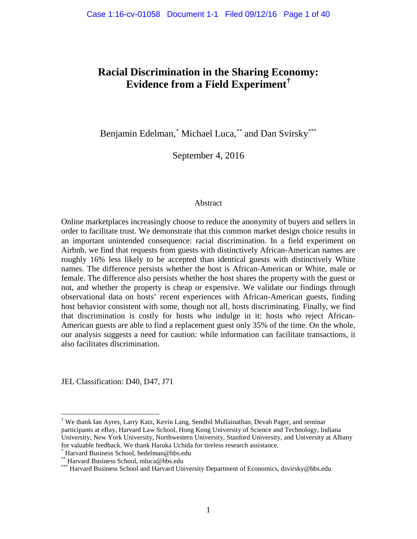# **Racial Discrimination in the Sharing Economy: Evidence from a Field Experiment[†](#page-19-0)**

Benjamin Edelman,<sup>[\\*](#page-19-1)</sup> Michael Luca,[\\*\\*](#page-19-2) and Dan Svirsky[\\*\\*\\*](#page-19-3)

September 4, 2016

#### Abstract

Online marketplaces increasingly choose to reduce the anonymity of buyers and sellers in order to facilitate trust. We demonstrate that this common market design choice results in an important unintended consequence: racial discrimination. In a field experiment on Airbnb, we find that requests from guests with distinctively African-American names are roughly 16% less likely to be accepted than identical guests with distinctively White names. The difference persists whether the host is African-American or White, male or female. The difference also persists whether the host shares the property with the guest or not, and whether the property is cheap or expensive. We validate our findings through observational data on hosts' recent experiences with African-American guests, finding host behavior consistent with some, though not all, hosts discriminating. Finally, we find that discrimination is costly for hosts who indulge in it: hosts who reject African-American guests are able to find a replacement guest only 35% of the time. On the whole, our analysis suggests a need for caution: while information can facilitate transactions, it also facilitates discrimination.

JEL Classification: D40, D47, J71

<span id="page-19-0"></span> <sup>†</sup> We thank Ian Ayres, Larry Katz, Kevin Lang, Sendhil Mullainathan, Devah Pager, and seminar participants at eBay, Harvard Law School, Hong Kong University of Science and Technology, Indiana University, New York University, Northwestern University, Stanford University, and University at Albany for valuable feedback. We thank Haruka Uchida for tireless research assistance.<br>\* Harvard Business School, bedelman@hbs.edu<br>\*\*\* Harvard Business School, mluca@hbs.edu<br>\*\*\* Harvard Business School and Harvard University Depa

<span id="page-19-1"></span>

<span id="page-19-3"></span><span id="page-19-2"></span>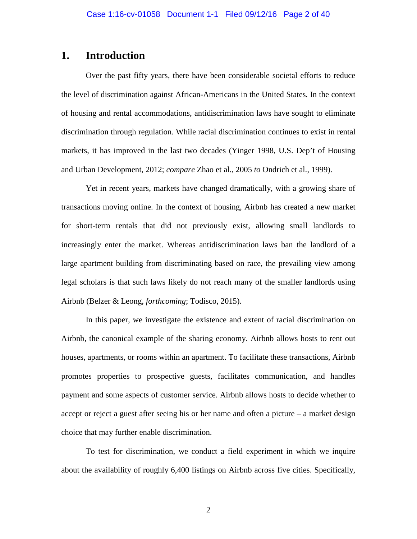# **1. Introduction**

Over the past fifty years, there have been considerable societal efforts to reduce the level of discrimination against African-Americans in the United States. In the context of housing and rental accommodations, antidiscrimination laws have sought to eliminate discrimination through regulation. While racial discrimination continues to exist in rental markets, it has improved in the last two decades (Yinger 1998, U.S. Dep't of Housing and Urban Development, 2012; *compare* Zhao et al., 2005 *to* Ondrich et al., 1999).

Yet in recent years, markets have changed dramatically, with a growing share of transactions moving online. In the context of housing, Airbnb has created a new market for short-term rentals that did not previously exist, allowing small landlords to increasingly enter the market. Whereas antidiscrimination laws ban the landlord of a large apartment building from discriminating based on race, the prevailing view among legal scholars is that such laws likely do not reach many of the smaller landlords using Airbnb (Belzer & Leong, *forthcoming*; Todisco, 2015).

In this paper, we investigate the existence and extent of racial discrimination on Airbnb, the canonical example of the sharing economy. Airbnb allows hosts to rent out houses, apartments, or rooms within an apartment. To facilitate these transactions, Airbnb promotes properties to prospective guests, facilitates communication, and handles payment and some aspects of customer service. Airbnb allows hosts to decide whether to accept or reject a guest after seeing his or her name and often a picture – a market design choice that may further enable discrimination.

To test for discrimination, we conduct a field experiment in which we inquire about the availability of roughly 6,400 listings on Airbnb across five cities. Specifically,

2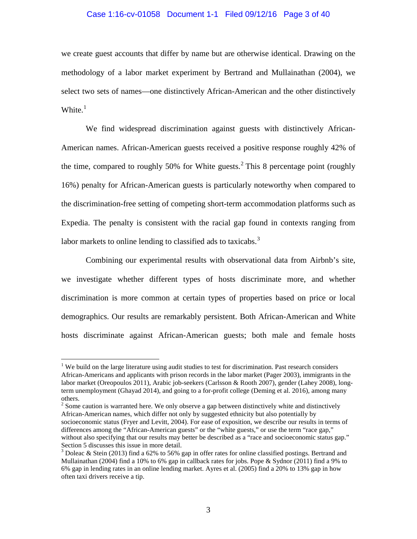#### Case 1:16-cv-01058 Document 1-1 Filed 09/12/16 Page 3 of 40

we create guest accounts that differ by name but are otherwise identical. Drawing on the methodology of a labor market experiment by Bertrand and Mullainathan (2004), we select two sets of names—one distinctively African-American and the other distinctively White.<sup>[1](#page-21-0)</sup>

We find widespread discrimination against guests with distinctively African-American names. African-American guests received a positive response roughly 42% of the time, compared to roughly 50% for White guests.<sup>[2](#page-21-1)</sup> This 8 percentage point (roughly 16%) penalty for African-American guests is particularly noteworthy when compared to the discrimination-free setting of competing short-term accommodation platforms such as Expedia. The penalty is consistent with the racial gap found in contexts ranging from labor markets to online lending to classified ads to taxicabs.<sup>[3](#page-21-2)</sup>

Combining our experimental results with observational data from Airbnb's site, we investigate whether different types of hosts discriminate more, and whether discrimination is more common at certain types of properties based on price or local demographics. Our results are remarkably persistent. Both African-American and White hosts discriminate against African-American guests; both male and female hosts

<span id="page-21-0"></span> $1$  We build on the large literature using audit studies to test for discrimination. Past research considers African-Americans and applicants with prison records in the labor market (Pager 2003), immigrants in the labor market (Oreopoulos 2011), Arabic job-seekers (Carlsson & Rooth 2007), gender (Lahey 2008), longterm unemployment (Ghayad 2014), and going to a for-profit college (Deming et al. 2016), among many others.

<span id="page-21-1"></span> $2^{2}$  Some caution is warranted here. We only observe a gap between distinctively white and distinctively African-American names, which differ not only by suggested ethnicity but also potentially by socioeconomic status (Fryer and Levitt, 2004). For ease of exposition, we describe our results in terms of differences among the "African-American guests" or the "white guests," or use the term "race gap," without also specifying that our results may better be described as a "race and socioeconomic status gap." Section 5 discusses this issue in more detail.

<span id="page-21-2"></span><sup>3</sup> Doleac & Stein (2013) find a 62% to 56% gap in offer rates for online classified postings. Bertrand and Mullainathan (2004) find a 10% to 6% gap in callback rates for jobs. Pope & Sydnor (2011) find a 9% to 6% gap in lending rates in an online lending market. Ayres et al. (2005) find a 20% to 13% gap in how often taxi drivers receive a tip.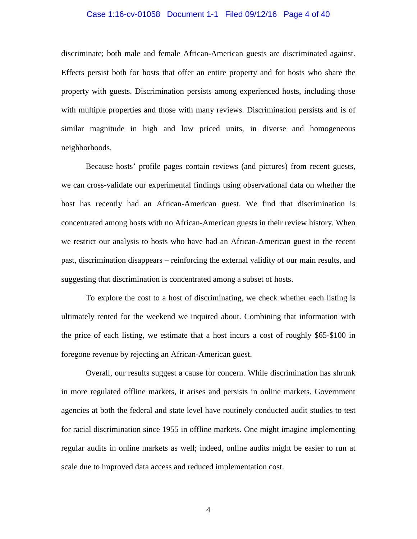#### Case 1:16-cv-01058 Document 1-1 Filed 09/12/16 Page 4 of 40

discriminate; both male and female African-American guests are discriminated against. Effects persist both for hosts that offer an entire property and for hosts who share the property with guests. Discrimination persists among experienced hosts, including those with multiple properties and those with many reviews. Discrimination persists and is of similar magnitude in high and low priced units, in diverse and homogeneous neighborhoods.

Because hosts' profile pages contain reviews (and pictures) from recent guests, we can cross-validate our experimental findings using observational data on whether the host has recently had an African-American guest. We find that discrimination is concentrated among hosts with no African-American guests in their review history. When we restrict our analysis to hosts who have had an African-American guest in the recent past, discrimination disappears – reinforcing the external validity of our main results, and suggesting that discrimination is concentrated among a subset of hosts.

To explore the cost to a host of discriminating, we check whether each listing is ultimately rented for the weekend we inquired about. Combining that information with the price of each listing, we estimate that a host incurs a cost of roughly \$65-\$100 in foregone revenue by rejecting an African-American guest.

Overall, our results suggest a cause for concern. While discrimination has shrunk in more regulated offline markets, it arises and persists in online markets. Government agencies at both the federal and state level have routinely conducted audit studies to test for racial discrimination since 1955 in offline markets. One might imagine implementing regular audits in online markets as well; indeed, online audits might be easier to run at scale due to improved data access and reduced implementation cost.

4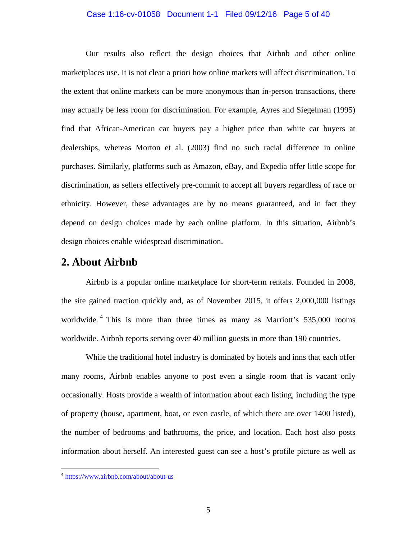#### Case 1:16-cv-01058 Document 1-1 Filed 09/12/16 Page 5 of 40

Our results also reflect the design choices that Airbnb and other online marketplaces use. It is not clear a priori how online markets will affect discrimination. To the extent that online markets can be more anonymous than in-person transactions, there may actually be less room for discrimination. For example, Ayres and Siegelman (1995) find that African-American car buyers pay a higher price than white car buyers at dealerships, whereas Morton et al. (2003) find no such racial difference in online purchases. Similarly, platforms such as Amazon, eBay, and Expedia offer little scope for discrimination, as sellers effectively pre-commit to accept all buyers regardless of race or ethnicity. However, these advantages are by no means guaranteed, and in fact they depend on design choices made by each online platform. In this situation, Airbnb's design choices enable widespread discrimination.

# **2. About Airbnb**

Airbnb is a popular online marketplace for short-term rentals. Founded in 2008, the site gained traction quickly and, as of November 2015, it offers 2,000,000 listings worldwide.<sup>[4](#page-23-0)</sup> This is more than three times as many as Marriott's 535,000 rooms worldwide. Airbnb reports serving over 40 million guests in more than 190 countries.

While the traditional hotel industry is dominated by hotels and inns that each offer many rooms, Airbnb enables anyone to post even a single room that is vacant only occasionally. Hosts provide a wealth of information about each listing, including the type of property (house, apartment, boat, or even castle, of which there are over 1400 listed), the number of bedrooms and bathrooms, the price, and location. Each host also posts information about herself. An interested guest can see a host's profile picture as well as

<span id="page-23-0"></span> <sup>4</sup> <https://www.airbnb.com/about/about-us>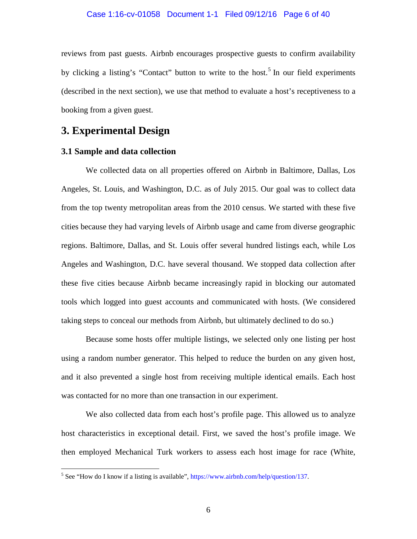reviews from past guests. Airbnb encourages prospective guests to confirm availability by clicking a listing's "Contact" button to write to the host.<sup>[5](#page-24-0)</sup> In our field experiments (described in the next section), we use that method to evaluate a host's receptiveness to a booking from a given guest.

# **3. Experimental Design**

### **3.1 Sample and data collection**

We collected data on all properties offered on Airbnb in Baltimore, Dallas, Los Angeles, St. Louis, and Washington, D.C. as of July 2015. Our goal was to collect data from the top twenty metropolitan areas from the 2010 census. We started with these five cities because they had varying levels of Airbnb usage and came from diverse geographic regions. Baltimore, Dallas, and St. Louis offer several hundred listings each, while Los Angeles and Washington, D.C. have several thousand. We stopped data collection after these five cities because Airbnb became increasingly rapid in blocking our automated tools which logged into guest accounts and communicated with hosts. (We considered taking steps to conceal our methods from Airbnb, but ultimately declined to do so.)

Because some hosts offer multiple listings, we selected only one listing per host using a random number generator. This helped to reduce the burden on any given host, and it also prevented a single host from receiving multiple identical emails. Each host was contacted for no more than one transaction in our experiment.

We also collected data from each host's profile page. This allowed us to analyze host characteristics in exceptional detail. First, we saved the host's profile image. We then employed Mechanical Turk workers to assess each host image for race (White,

<span id="page-24-0"></span><sup>&</sup>lt;sup>5</sup> See "How do I know if a listing is available", [https://www.airbnb.com/help/question/137.](https://www.airbnb.com/help/question/137)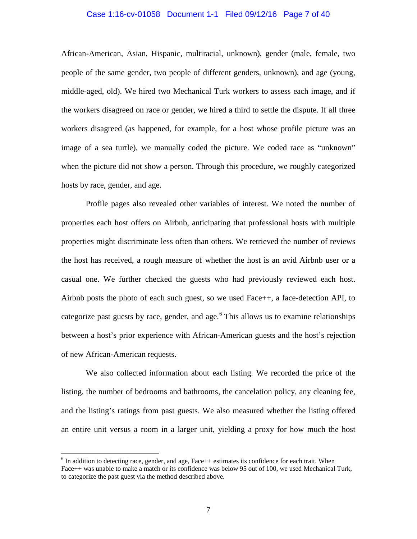#### Case 1:16-cv-01058 Document 1-1 Filed 09/12/16 Page 7 of 40

African-American, Asian, Hispanic, multiracial, unknown), gender (male, female, two people of the same gender, two people of different genders, unknown), and age (young, middle-aged, old). We hired two Mechanical Turk workers to assess each image, and if the workers disagreed on race or gender, we hired a third to settle the dispute. If all three workers disagreed (as happened, for example, for a host whose profile picture was an image of a sea turtle), we manually coded the picture. We coded race as "unknown" when the picture did not show a person. Through this procedure, we roughly categorized hosts by race, gender, and age.

Profile pages also revealed other variables of interest. We noted the number of properties each host offers on Airbnb, anticipating that professional hosts with multiple properties might discriminate less often than others. We retrieved the number of reviews the host has received, a rough measure of whether the host is an avid Airbnb user or a casual one. We further checked the guests who had previously reviewed each host. Airbnb posts the photo of each such guest, so we used Face++, a face-detection API, to categorize past guests by race, gender, and age. $<sup>6</sup>$  $<sup>6</sup>$  $<sup>6</sup>$  This allows us to examine relationships</sup> between a host's prior experience with African-American guests and the host's rejection of new African-American requests.

We also collected information about each listing. We recorded the price of the listing, the number of bedrooms and bathrooms, the cancelation policy, any cleaning fee, and the listing's ratings from past guests. We also measured whether the listing offered an entire unit versus a room in a larger unit, yielding a proxy for how much the host

<span id="page-25-0"></span> $6$  In addition to detecting race, gender, and age, Face ++ estimates its confidence for each trait. When Face++ was unable to make a match or its confidence was below 95 out of 100, we used Mechanical Turk, to categorize the past guest via the method described above.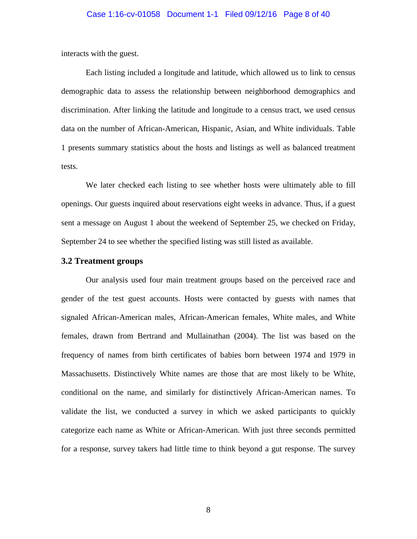interacts with the guest.

Each listing included a longitude and latitude, which allowed us to link to census demographic data to assess the relationship between neighborhood demographics and discrimination. After linking the latitude and longitude to a census tract, we used census data on the number of African-American, Hispanic, Asian, and White individuals. Table 1 presents summary statistics about the hosts and listings as well as balanced treatment tests.

We later checked each listing to see whether hosts were ultimately able to fill openings. Our guests inquired about reservations eight weeks in advance. Thus, if a guest sent a message on August 1 about the weekend of September 25, we checked on Friday, September 24 to see whether the specified listing was still listed as available.

#### **3.2 Treatment groups**

Our analysis used four main treatment groups based on the perceived race and gender of the test guest accounts. Hosts were contacted by guests with names that signaled African-American males, African-American females, White males, and White females, drawn from Bertrand and Mullainathan (2004). The list was based on the frequency of names from birth certificates of babies born between 1974 and 1979 in Massachusetts. Distinctively White names are those that are most likely to be White, conditional on the name, and similarly for distinctively African-American names. To validate the list, we conducted a survey in which we asked participants to quickly categorize each name as White or African-American. With just three seconds permitted for a response, survey takers had little time to think beyond a gut response. The survey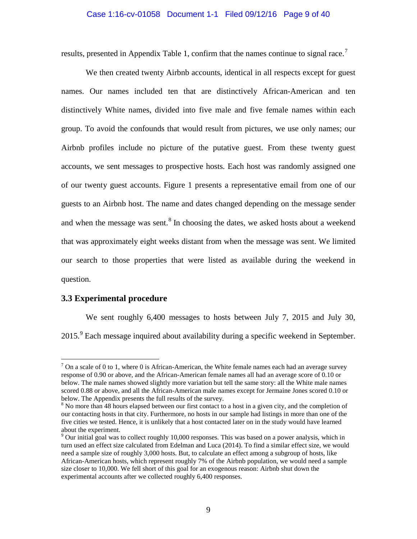#### Case 1:16-cv-01058 Document 1-1 Filed 09/12/16 Page 9 of 40

results, presented in Appendix Table 1, confirm that the names continue to signal race.<sup>[7](#page-27-0)</sup>

We then created twenty Airbnb accounts, identical in all respects except for guest names. Our names included ten that are distinctively African-American and ten distinctively White names, divided into five male and five female names within each group. To avoid the confounds that would result from pictures, we use only names; our Airbnb profiles include no picture of the putative guest. From these twenty guest accounts, we sent messages to prospective hosts. Each host was randomly assigned one of our twenty guest accounts. Figure 1 presents a representative email from one of our guests to an Airbnb host. The name and dates changed depending on the message sender and when the message was sent.<sup>[8](#page-27-1)</sup> In choosing the dates, we asked hosts about a weekend that was approximately eight weeks distant from when the message was sent. We limited our search to those properties that were listed as available during the weekend in question.

#### **3.3 Experimental procedure**

We sent roughly 6,400 messages to hosts between July 7, 2015 and July 30, 2015.<sup>[9](#page-27-2)</sup> Each message inquired about availability during a specific weekend in September.

<span id="page-27-0"></span> $7$  On a scale of 0 to 1, where 0 is African-American, the White female names each had an average survey response of 0.90 or above, and the African-American female names all had an average score of 0.10 or below. The male names showed slightly more variation but tell the same story: all the White male names scored 0.88 or above, and all the African-American male names except for Jermaine Jones scored 0.10 or below. The Appendix presents the full results of the survey.<br><sup>8</sup> No more than 48 hours elapsed between our first contact to a host in a given city, and the completion of

<span id="page-27-1"></span>our contacting hosts in that city. Furthermore, no hosts in our sample had listings in more than one of the five cities we tested. Hence, it is unlikely that a host contacted later on in the study would have learned about the experiment.

<span id="page-27-2"></span><sup>&</sup>lt;sup>9</sup> Our initial goal was to collect roughly 10,000 responses. This was based on a power analysis, which in turn used an effect size calculated from Edelman and Luca (2014). To find a similar effect size, we would need a sample size of roughly 3,000 hosts. But, to calculate an effect among a subgroup of hosts, like African-American hosts, which represent roughly 7% of the Airbnb population, we would need a sample size closer to 10,000. We fell short of this goal for an exogenous reason: Airbnb shut down the experimental accounts after we collected roughly 6,400 responses.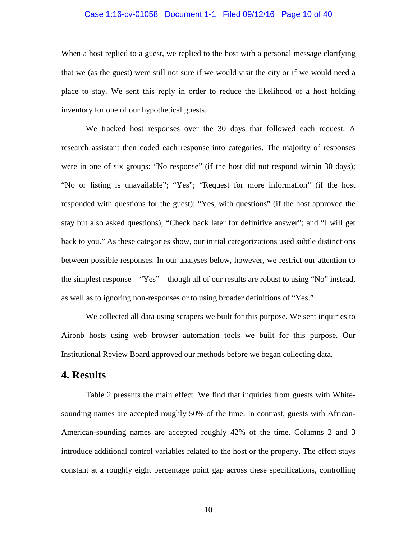#### Case 1:16-cv-01058 Document 1-1 Filed 09/12/16 Page 10 of 40

When a host replied to a guest, we replied to the host with a personal message clarifying that we (as the guest) were still not sure if we would visit the city or if we would need a place to stay. We sent this reply in order to reduce the likelihood of a host holding inventory for one of our hypothetical guests.

We tracked host responses over the 30 days that followed each request. A research assistant then coded each response into categories. The majority of responses were in one of six groups: "No response" (if the host did not respond within 30 days); "No or listing is unavailable"; "Yes"; "Request for more information" (if the host responded with questions for the guest); "Yes, with questions" (if the host approved the stay but also asked questions); "Check back later for definitive answer"; and "I will get back to you." As these categories show, our initial categorizations used subtle distinctions between possible responses. In our analyses below, however, we restrict our attention to the simplest response – "Yes" – though all of our results are robust to using "No" instead, as well as to ignoring non-responses or to using broader definitions of "Yes."

We collected all data using scrapers we built for this purpose. We sent inquiries to Airbnb hosts using web browser automation tools we built for this purpose. Our Institutional Review Board approved our methods before we began collecting data.

# **4. Results**

Table 2 presents the main effect. We find that inquiries from guests with Whitesounding names are accepted roughly 50% of the time. In contrast, guests with African-American-sounding names are accepted roughly 42% of the time. Columns 2 and 3 introduce additional control variables related to the host or the property. The effect stays constant at a roughly eight percentage point gap across these specifications, controlling

10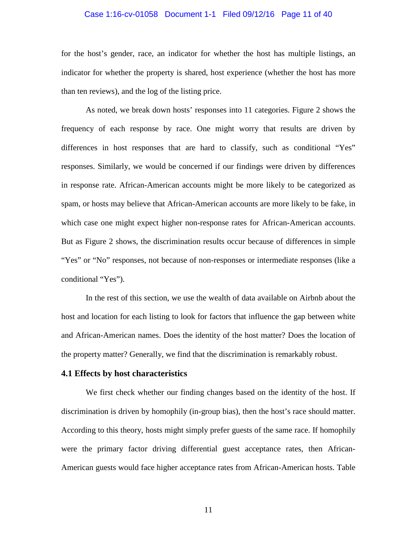#### Case 1:16-cv-01058 Document 1-1 Filed 09/12/16 Page 11 of 40

for the host's gender, race, an indicator for whether the host has multiple listings, an indicator for whether the property is shared, host experience (whether the host has more than ten reviews), and the log of the listing price.

As noted, we break down hosts' responses into 11 categories. Figure 2 shows the frequency of each response by race. One might worry that results are driven by differences in host responses that are hard to classify, such as conditional "Yes" responses. Similarly, we would be concerned if our findings were driven by differences in response rate. African-American accounts might be more likely to be categorized as spam, or hosts may believe that African-American accounts are more likely to be fake, in which case one might expect higher non-response rates for African-American accounts. But as Figure 2 shows, the discrimination results occur because of differences in simple "Yes" or "No" responses, not because of non-responses or intermediate responses (like a conditional "Yes").

In the rest of this section, we use the wealth of data available on Airbnb about the host and location for each listing to look for factors that influence the gap between white and African-American names. Does the identity of the host matter? Does the location of the property matter? Generally, we find that the discrimination is remarkably robust.

#### **4.1 Effects by host characteristics**

We first check whether our finding changes based on the identity of the host. If discrimination is driven by homophily (in-group bias), then the host's race should matter. According to this theory, hosts might simply prefer guests of the same race. If homophily were the primary factor driving differential guest acceptance rates, then African-American guests would face higher acceptance rates from African-American hosts. Table

11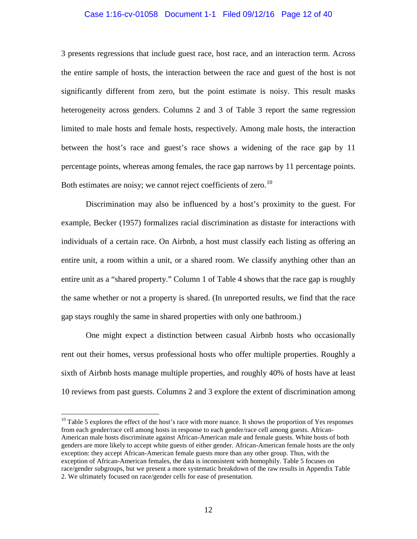#### Case 1:16-cv-01058 Document 1-1 Filed 09/12/16 Page 12 of 40

3 presents regressions that include guest race, host race, and an interaction term. Across the entire sample of hosts, the interaction between the race and guest of the host is not significantly different from zero, but the point estimate is noisy. This result masks heterogeneity across genders. Columns 2 and 3 of Table 3 report the same regression limited to male hosts and female hosts, respectively. Among male hosts, the interaction between the host's race and guest's race shows a widening of the race gap by 11 percentage points, whereas among females, the race gap narrows by 11 percentage points. Both estimates are noisy; we cannot reject coefficients of zero.<sup>[10](#page-30-0)</sup>

Discrimination may also be influenced by a host's proximity to the guest. For example, Becker (1957) formalizes racial discrimination as distaste for interactions with individuals of a certain race. On Airbnb, a host must classify each listing as offering an entire unit, a room within a unit, or a shared room. We classify anything other than an entire unit as a "shared property." Column 1 of [Table 4](#page-51-0) shows that the race gap is roughly the same whether or not a property is shared. (In unreported results, we find that the race gap stays roughly the same in shared properties with only one bathroom.)

One might expect a distinction between casual Airbnb hosts who occasionally rent out their homes, versus professional hosts who offer multiple properties. Roughly a sixth of Airbnb hosts manage multiple properties, and roughly 40% of hosts have at least 10 reviews from past guests. Columns 2 and 3 explore the extent of discrimination among

<span id="page-30-0"></span><sup>&</sup>lt;sup>10</sup> Table 5 explores the effect of the host's race with more nuance. It shows the proportion of Yes responses from each gender/race cell among hosts in response to each gender/race cell among guests. African-American male hosts discriminate against African-American male and female guests. White hosts of both genders are more likely to accept white guests of either gender. African-American female hosts are the only exception: they accept African-American female guests more than any other group. Thus, with the exception of African-American females, the data is inconsistent with homophily. Table 5 focuses on race/gender subgroups, but we present a more systematic breakdown of the raw results in Appendix Table 2. We ultimately focused on race/gender cells for ease of presentation.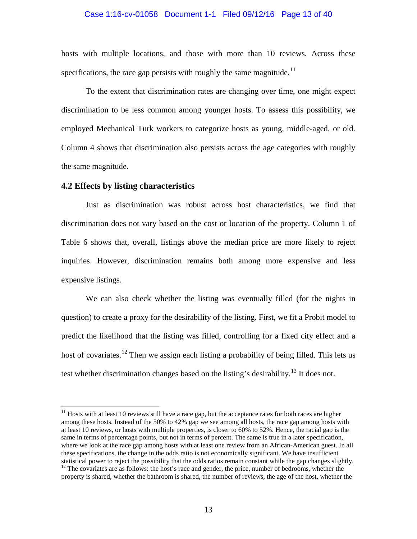#### Case 1:16-cv-01058 Document 1-1 Filed 09/12/16 Page 13 of 40

hosts with multiple locations, and those with more than 10 reviews. Across these specifications, the race gap persists with roughly the same magnitude.<sup>[11](#page-31-0)</sup>

To the extent that discrimination rates are changing over time, one might expect discrimination to be less common among younger hosts. To assess this possibility, we employed Mechanical Turk workers to categorize hosts as young, middle-aged, or old. Column 4 shows that discrimination also persists across the age categories with roughly the same magnitude.

#### **4.2 Effects by listing characteristics**

Just as discrimination was robust across host characteristics, we find that discrimination does not vary based on the cost or location of the property. Column 1 of Table 6 shows that, overall, listings above the median price are more likely to reject inquiries. However, discrimination remains both among more expensive and less expensive listings.

We can also check whether the listing was eventually filled (for the nights in question) to create a proxy for the desirability of the listing. First, we fit a Probit model to predict the likelihood that the listing was filled, controlling for a fixed city effect and a host of covariates.<sup>[12](#page-31-1)</sup> Then we assign each listing a probability of being filled. This lets us test whether discrimination changes based on the listing's desirability.<sup>[13](#page-31-2)</sup> It does not.

<span id="page-31-0"></span><sup>&</sup>lt;sup>11</sup> Hosts with at least 10 reviews still have a race gap, but the acceptance rates for both races are higher among these hosts. Instead of the 50% to 42% gap we see among all hosts, the race gap among hosts with at least 10 reviews, or hosts with multiple properties, is closer to 60% to 52%. Hence, the racial gap is the same in terms of percentage points, but not in terms of percent. The same is true in a later specification, where we look at the race gap among hosts with at least one review from an African-American guest. In all these specifications, the change in the odds ratio is not economically significant. We have insufficient statistical power to reject the possibility that the odds ratios remain constant while the gap changes slightly.<br><sup>12</sup> The covariates are as follows: the host's race and gender, the price, number of bedrooms, whether the

<span id="page-31-2"></span><span id="page-31-1"></span>property is shared, whether the bathroom is shared, the number of reviews, the age of the host, whether the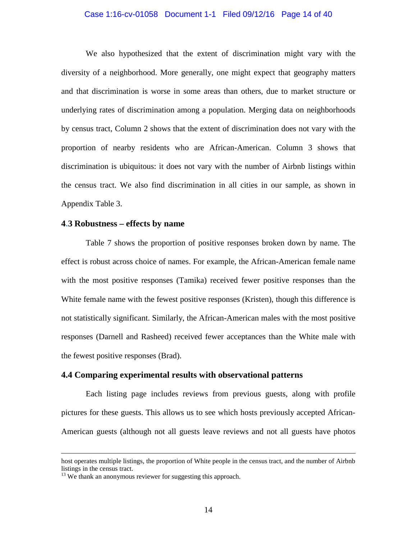#### Case 1:16-cv-01058 Document 1-1 Filed 09/12/16 Page 14 of 40

We also hypothesized that the extent of discrimination might vary with the diversity of a neighborhood. More generally, one might expect that geography matters and that discrimination is worse in some areas than others, due to market structure or underlying rates of discrimination among a population. Merging data on neighborhoods by census tract, Column 2 shows that the extent of discrimination does not vary with the proportion of nearby residents who are African-American. Column 3 shows that discrimination is ubiquitous: it does not vary with the number of Airbnb listings within the census tract. We also find discrimination in all cities in our sample, as shown in Appendix Table 3.

#### **4.3 Robustness – effects by name**

Table 7 shows the proportion of positive responses broken down by name. The effect is robust across choice of names. For example, the African-American female name with the most positive responses (Tamika) received fewer positive responses than the White female name with the fewest positive responses (Kristen), though this difference is not statistically significant. Similarly, the African-American males with the most positive responses (Darnell and Rasheed) received fewer acceptances than the White male with the fewest positive responses (Brad).

#### **4.4 Comparing experimental results with observational patterns**

Each listing page includes reviews from previous guests, along with profile pictures for these guests. This allows us to see which hosts previously accepted African-American guests (although not all guests leave reviews and not all guests have photos

 $\overline{a}$ 

host operates multiple listings, the proportion of White people in the census tract, and the number of Airbnb listings in the census tract.

<sup>&</sup>lt;sup>13</sup> We thank an anonymous reviewer for suggesting this approach.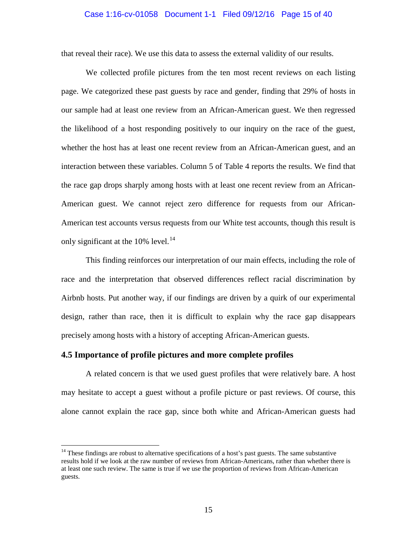#### Case 1:16-cv-01058 Document 1-1 Filed 09/12/16 Page 15 of 40

that reveal their race). We use this data to assess the external validity of our results.

We collected profile pictures from the ten most recent reviews on each listing page. We categorized these past guests by race and gender, finding that 29% of hosts in our sample had at least one review from an African-American guest. We then regressed the likelihood of a host responding positively to our inquiry on the race of the guest, whether the host has at least one recent review from an African-American guest, and an interaction between these variables. Column 5 of [Table 4](#page-51-0) reports the results. We find that the race gap drops sharply among hosts with at least one recent review from an African-American guest. We cannot reject zero difference for requests from our African-American test accounts versus requests from our White test accounts, though this result is only significant at the 10% level.<sup>[14](#page-33-0)</sup>

This finding reinforces our interpretation of our main effects, including the role of race and the interpretation that observed differences reflect racial discrimination by Airbnb hosts. Put another way, if our findings are driven by a quirk of our experimental design, rather than race, then it is difficult to explain why the race gap disappears precisely among hosts with a history of accepting African-American guests.

#### **4.5 Importance of profile pictures and more complete profiles**

A related concern is that we used guest profiles that were relatively bare. A host may hesitate to accept a guest without a profile picture or past reviews. Of course, this alone cannot explain the race gap, since both white and African-American guests had

<span id="page-33-0"></span> $14$  These findings are robust to alternative specifications of a host's past guests. The same substantive results hold if we look at the raw number of reviews from African-Americans, rather than whether there is at least one such review. The same is true if we use the proportion of reviews from African-American guests.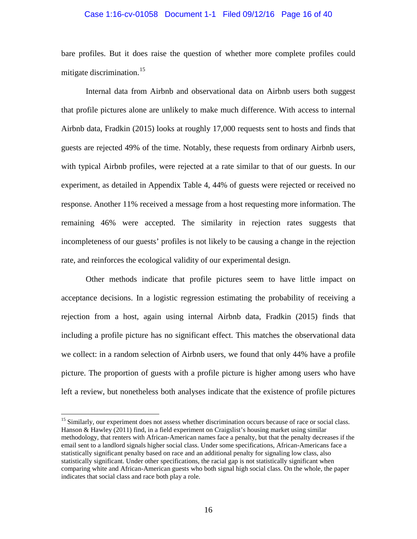#### Case 1:16-cv-01058 Document 1-1 Filed 09/12/16 Page 16 of 40

bare profiles. But it does raise the question of whether more complete profiles could mitigate discrimination.<sup>[15](#page-34-0)</sup>

Internal data from Airbnb and observational data on Airbnb users both suggest that profile pictures alone are unlikely to make much difference. With access to internal Airbnb data, Fradkin (2015) looks at roughly 17,000 requests sent to hosts and finds that guests are rejected 49% of the time. Notably, these requests from ordinary Airbnb users, with typical Airbnb profiles, were rejected at a rate similar to that of our guests. In our experiment, as detailed in Appendix Table 4, 44% of guests were rejected or received no response. Another 11% received a message from a host requesting more information. The remaining 46% were accepted. The similarity in rejection rates suggests that incompleteness of our guests' profiles is not likely to be causing a change in the rejection rate, and reinforces the ecological validity of our experimental design.

Other methods indicate that profile pictures seem to have little impact on acceptance decisions. In a logistic regression estimating the probability of receiving a rejection from a host, again using internal Airbnb data, Fradkin (2015) finds that including a profile picture has no significant effect. This matches the observational data we collect: in a random selection of Airbnb users, we found that only 44% have a profile picture. The proportion of guests with a profile picture is higher among users who have left a review, but nonetheless both analyses indicate that the existence of profile pictures

<span id="page-34-0"></span><sup>&</sup>lt;sup>15</sup> Similarly, our experiment does not assess whether discrimination occurs because of race or social class. Hanson & Hawley (2011) find, in a field experiment on Craigslist's housing market using similar methodology, that renters with African-American names face a penalty, but that the penalty decreases if the email sent to a landlord signals higher social class. Under some specifications, African-Americans face a statistically significant penalty based on race and an additional penalty for signaling low class, also statistically significant. Under other specifications, the racial gap is not statistically significant when comparing white and African-American guests who both signal high social class. On the whole, the paper indicates that social class and race both play a role.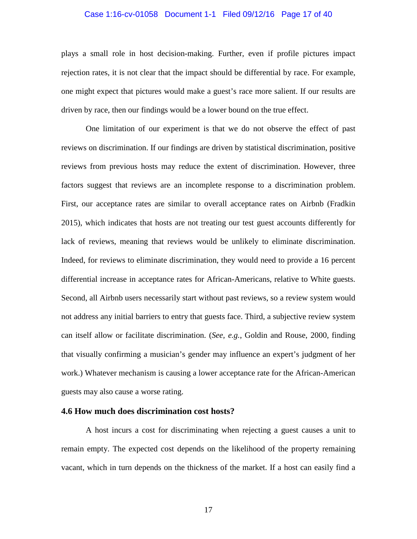#### Case 1:16-cv-01058 Document 1-1 Filed 09/12/16 Page 17 of 40

plays a small role in host decision-making. Further, even if profile pictures impact rejection rates, it is not clear that the impact should be differential by race. For example, one might expect that pictures would make a guest's race more salient. If our results are driven by race, then our findings would be a lower bound on the true effect.

One limitation of our experiment is that we do not observe the effect of past reviews on discrimination. If our findings are driven by statistical discrimination, positive reviews from previous hosts may reduce the extent of discrimination. However, three factors suggest that reviews are an incomplete response to a discrimination problem. First, our acceptance rates are similar to overall acceptance rates on Airbnb (Fradkin 2015), which indicates that hosts are not treating our test guest accounts differently for lack of reviews, meaning that reviews would be unlikely to eliminate discrimination. Indeed, for reviews to eliminate discrimination, they would need to provide a 16 percent differential increase in acceptance rates for African-Americans, relative to White guests. Second, all Airbnb users necessarily start without past reviews, so a review system would not address any initial barriers to entry that guests face. Third, a subjective review system can itself allow or facilitate discrimination. (*See, e.g.*, Goldin and Rouse, 2000, finding that visually confirming a musician's gender may influence an expert's judgment of her work.) Whatever mechanism is causing a lower acceptance rate for the African-American guests may also cause a worse rating.

#### **4.6 How much does discrimination cost hosts?**

A host incurs a cost for discriminating when rejecting a guest causes a unit to remain empty. The expected cost depends on the likelihood of the property remaining vacant, which in turn depends on the thickness of the market. If a host can easily find a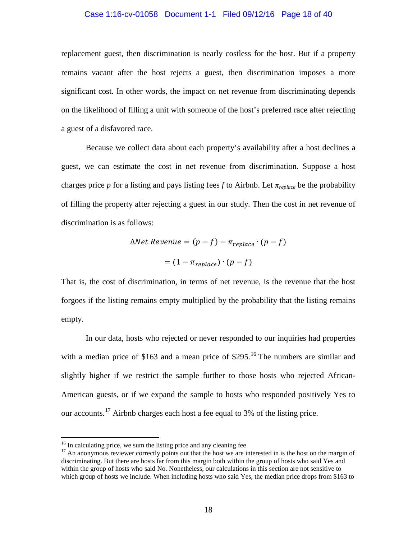#### Case 1:16-cv-01058 Document 1-1 Filed 09/12/16 Page 18 of 40

replacement guest, then discrimination is nearly costless for the host. But if a property remains vacant after the host rejects a guest, then discrimination imposes a more significant cost. In other words, the impact on net revenue from discriminating depends on the likelihood of filling a unit with someone of the host's preferred race after rejecting a guest of a disfavored race.

Because we collect data about each property's availability after a host declines a guest, we can estimate the cost in net revenue from discrimination. Suppose a host charges price *p* for a listing and pays listing fees *f* to Airbnb. Let  $\pi_{replace}$  be the probability of filling the property after rejecting a guest in our study. Then the cost in net revenue of discrimination is as follows:

$$
\Delta Net Revenue = (p - f) - \pi_{replace} \cdot (p - f)
$$

$$
= (1 - \pi_{replace}) \cdot (p - f)
$$

That is, the cost of discrimination, in terms of net revenue, is the revenue that the host forgoes if the listing remains empty multiplied by the probability that the listing remains empty.

In our data, hosts who rejected or never responded to our inquiries had properties with a median price of \$[16](#page-36-0)3 and a mean price of  $$295<sup>16</sup>$ . The numbers are similar and slightly higher if we restrict the sample further to those hosts who rejected African-American guests, or if we expand the sample to hosts who responded positively Yes to our accounts.<sup>[17](#page-36-1)</sup> Airbnb charges each host a fee equal to 3% of the listing price.

<span id="page-36-1"></span><span id="page-36-0"></span><sup>&</sup>lt;sup>16</sup> In calculating price, we sum the listing price and any cleaning fee.<br><sup>17</sup> An anonymous reviewer correctly points out that the host we are interested in is the host on the margin of discriminating. But there are hosts far from this margin both within the group of hosts who said Yes and within the group of hosts who said No. Nonetheless, our calculations in this section are not sensitive to which group of hosts we include. When including hosts who said Yes, the median price drops from \$163 to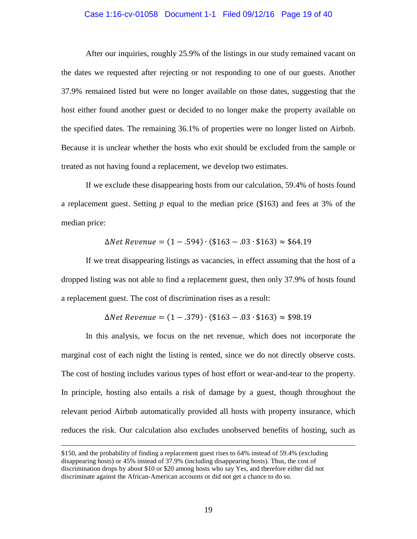#### Case 1:16-cv-01058 Document 1-1 Filed 09/12/16 Page 19 of 40

After our inquiries, roughly 25.9% of the listings in our study remained vacant on the dates we requested after rejecting or not responding to one of our guests. Another 37.9% remained listed but were no longer available on those dates, suggesting that the host either found another guest or decided to no longer make the property available on the specified dates. The remaining 36.1% of properties were no longer listed on Airbnb. Because it is unclear whether the hosts who exit should be excluded from the sample or treated as not having found a replacement, we develop two estimates.

If we exclude these disappearing hosts from our calculation, 59.4% of hosts found a replacement guest. Setting *p* equal to the median price (\$163) and fees at 3% of the median price:

$$
\Delta Net \; Revenue = (1 - .594) \cdot ($163 - .03 \cdot $163) \approx $64.19
$$

If we treat disappearing listings as vacancies, in effect assuming that the host of a dropped listing was not able to find a replacement guest, then only 37.9% of hosts found a replacement guest. The cost of discrimination rises as a result:

$$
\Delta Net \,\, Revenue = (1 - .379) \cdot ($163 - .03 \cdot $163) \approx $98.19
$$

In this analysis, we focus on the net revenue, which does not incorporate the marginal cost of each night the listing is rented, since we do not directly observe costs. The cost of hosting includes various types of host effort or wear-and-tear to the property. In principle, hosting also entails a risk of damage by a guest, though throughout the relevant period Airbnb automatically provided all hosts with property insurance, which reduces the risk. Our calculation also excludes unobserved benefits of hosting, such as

 $\overline{a}$ 

<sup>\$150,</sup> and the probability of finding a replacement guest rises to 64% instead of 59.4% (excluding disappearing hosts) or 45% instead of 37.9% (including disappearing hosts). Thus, the cost of discrimination drops by about \$10 or \$20 among hosts who say Yes, and therefore either did not discriminate against the African-American accounts or did not get a chance to do so.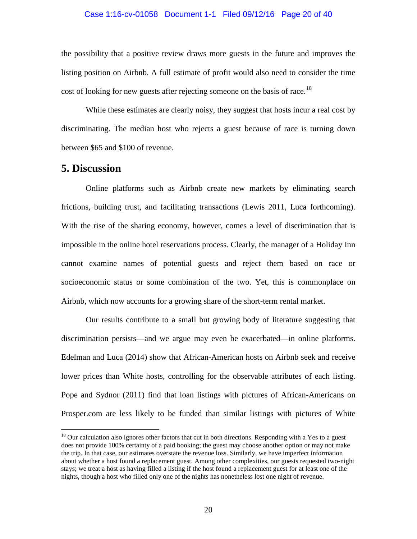#### Case 1:16-cv-01058 Document 1-1 Filed 09/12/16 Page 20 of 40

the possibility that a positive review draws more guests in the future and improves the listing position on Airbnb. A full estimate of profit would also need to consider the time cost of looking for new guests after rejecting someone on the basis of race.<sup>[18](#page-38-0)</sup>

While these estimates are clearly noisy, they suggest that hosts incur a real cost by discriminating. The median host who rejects a guest because of race is turning down between \$65 and \$100 of revenue.

# **5. Discussion**

Online platforms such as Airbnb create new markets by eliminating search frictions, building trust, and facilitating transactions (Lewis 2011, Luca forthcoming). With the rise of the sharing economy, however, comes a level of discrimination that is impossible in the online hotel reservations process. Clearly, the manager of a Holiday Inn cannot examine names of potential guests and reject them based on race or socioeconomic status or some combination of the two. Yet, this is commonplace on Airbnb, which now accounts for a growing share of the short-term rental market.

Our results contribute to a small but growing body of literature suggesting that discrimination persists—and we argue may even be exacerbated—in online platforms. Edelman and Luca (2014) show that African-American hosts on Airbnb seek and receive lower prices than White hosts, controlling for the observable attributes of each listing. Pope and Sydnor (2011) find that loan listings with pictures of African-Americans on Prosper.com are less likely to be funded than similar listings with pictures of White

<span id="page-38-0"></span><sup>&</sup>lt;sup>18</sup> Our calculation also ignores other factors that cut in both directions. Responding with a Yes to a guest does not provide 100% certainty of a paid booking; the guest may choose another option or may not make the trip. In that case, our estimates overstate the revenue loss. Similarly, we have imperfect information about whether a host found a replacement guest. Among other complexities, our guests requested two-night stays; we treat a host as having filled a listing if the host found a replacement guest for at least one of the nights, though a host who filled only one of the nights has nonetheless lost one night of revenue.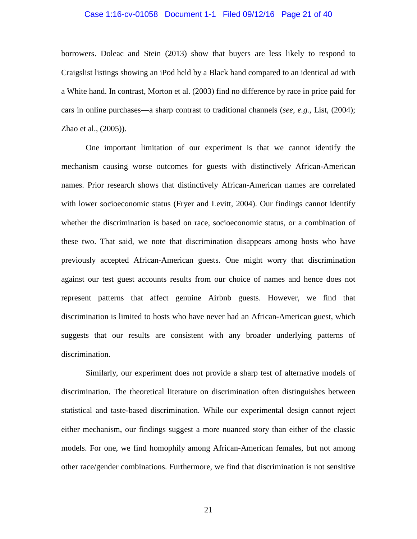#### Case 1:16-cv-01058 Document 1-1 Filed 09/12/16 Page 21 of 40

borrowers. Doleac and Stein (2013) show that buyers are less likely to respond to Craigslist listings showing an iPod held by a Black hand compared to an identical ad with a White hand. In contrast, Morton et al. (2003) find no difference by race in price paid for cars in online purchases—a sharp contrast to traditional channels (*see*, *e.g.,* List, (2004); Zhao et al., (2005)).

One important limitation of our experiment is that we cannot identify the mechanism causing worse outcomes for guests with distinctively African-American names. Prior research shows that distinctively African-American names are correlated with lower socioeconomic status (Fryer and Levitt, 2004). Our findings cannot identify whether the discrimination is based on race, socioeconomic status, or a combination of these two. That said, we note that discrimination disappears among hosts who have previously accepted African-American guests. One might worry that discrimination against our test guest accounts results from our choice of names and hence does not represent patterns that affect genuine Airbnb guests. However, we find that discrimination is limited to hosts who have never had an African-American guest, which suggests that our results are consistent with any broader underlying patterns of discrimination.

Similarly, our experiment does not provide a sharp test of alternative models of discrimination. The theoretical literature on discrimination often distinguishes between statistical and taste-based discrimination. While our experimental design cannot reject either mechanism, our findings suggest a more nuanced story than either of the classic models. For one, we find homophily among African-American females, but not among other race/gender combinations. Furthermore, we find that discrimination is not sensitive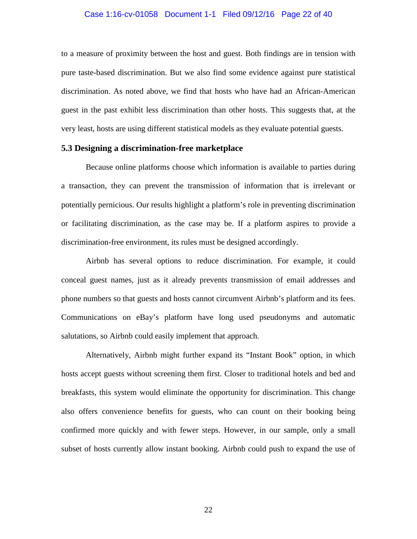#### Case 1:16-cv-01058 Document 1-1 Filed 09/12/16 Page 22 of 40

to a measure of proximity between the host and guest. Both findings are in tension with pure taste-based discrimination. But we also find some evidence against pure statistical discrimination. As noted above, we find that hosts who have had an African-American guest in the past exhibit less discrimination than other hosts. This suggests that, at the very least, hosts are using different statistical models as they evaluate potential guests.

#### **5.3 Designing a discrimination-free marketplace**

Because online platforms choose which information is available to parties during a transaction, they can prevent the transmission of information that is irrelevant or potentially pernicious. Our results highlight a platform's role in preventing discrimination or facilitating discrimination, as the case may be. If a platform aspires to provide a discrimination-free environment, its rules must be designed accordingly.

Airbnb has several options to reduce discrimination. For example, it could conceal guest names, just as it already prevents transmission of email addresses and phone numbers so that guests and hosts cannot circumvent Airbnb's platform and its fees. Communications on eBay's platform have long used pseudonyms and automatic salutations, so Airbnb could easily implement that approach.

Alternatively, Airbnb might further expand its "Instant Book" option, in which hosts accept guests without screening them first. Closer to traditional hotels and bed and breakfasts, this system would eliminate the opportunity for discrimination. This change also offers convenience benefits for guests, who can count on their booking being confirmed more quickly and with fewer steps. However, in our sample, only a small subset of hosts currently allow instant booking. Airbnb could push to expand the use of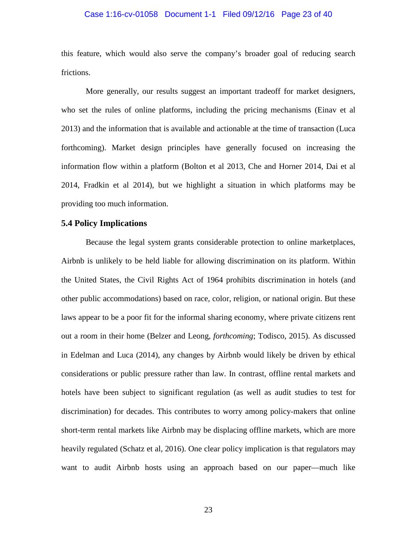#### Case 1:16-cv-01058 Document 1-1 Filed 09/12/16 Page 23 of 40

this feature, which would also serve the company's broader goal of reducing search frictions.

More generally, our results suggest an important tradeoff for market designers, who set the rules of online platforms, including the pricing mechanisms (Einav et al 2013) and the information that is available and actionable at the time of transaction (Luca forthcoming). Market design principles have generally focused on increasing the information flow within a platform (Bolton et al 2013, Che and Horner 2014, Dai et al 2014, Fradkin et al 2014), but we highlight a situation in which platforms may be providing too much information.

#### **5.4 Policy Implications**

Because the legal system grants considerable protection to online marketplaces, Airbnb is unlikely to be held liable for allowing discrimination on its platform. Within the United States, the Civil Rights Act of 1964 prohibits discrimination in hotels (and other public accommodations) based on race, color, religion, or national origin. But these laws appear to be a poor fit for the informal sharing economy, where private citizens rent out a room in their home (Belzer and Leong, *forthcoming*; Todisco, 2015). As discussed in Edelman and Luca (2014), any changes by Airbnb would likely be driven by ethical considerations or public pressure rather than law. In contrast, offline rental markets and hotels have been subject to significant regulation (as well as audit studies to test for discrimination) for decades. This contributes to worry among policy-makers that online short-term rental markets like Airbnb may be displacing offline markets, which are more heavily regulated (Schatz et al, 2016). One clear policy implication is that regulators may want to audit Airbnb hosts using an approach based on our paper—much like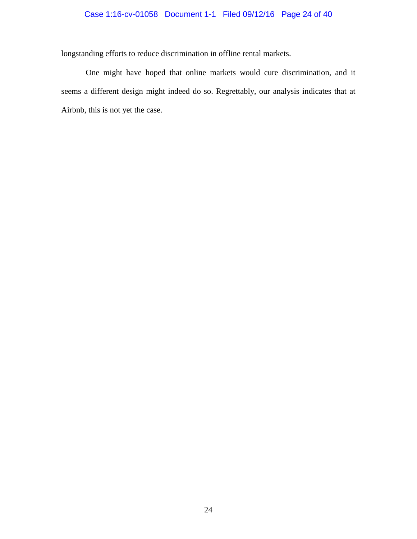## Case 1:16-cv-01058 Document 1-1 Filed 09/12/16 Page 24 of 40

longstanding efforts to reduce discrimination in offline rental markets.

One might have hoped that online markets would cure discrimination, and it seems a different design might indeed do so. Regrettably, our analysis indicates that at Airbnb, this is not yet the case.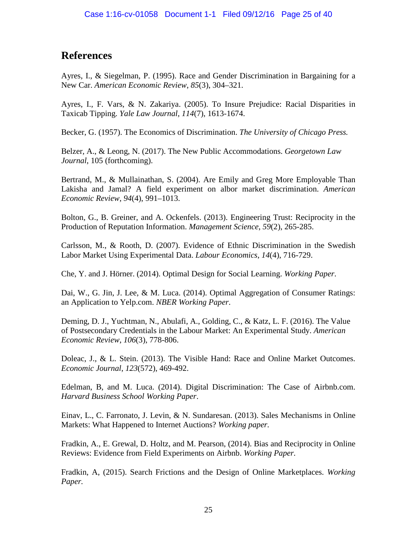# **References**

Ayres, I., & Siegelman, P. (1995). Race and Gender Discrimination in Bargaining for a New Car. *American Economic Review*, *85*(3), 304–321.

Ayres, I., F. Vars, & N. Zakariya. (2005). To Insure Prejudice: Racial Disparities in Taxicab Tipping. *Yale Law Journal*, *114*(7), 1613-1674.

Becker, G. (1957). The Economics of Discrimination. *The University of Chicago Press.*

Belzer, A., & Leong, N. (2017). The New Public Accommodations. *Georgetown Law Journal*, 105 (forthcoming).

Bertrand, M., & Mullainathan, S. (2004). Are Emily and Greg More Employable Than Lakisha and Jamal? A field experiment on albor market discrimination. *American Economic Review*, *94*(4), 991–1013.

Bolton, G., B. Greiner, and A. Ockenfels. (2013). Engineering Trust: Reciprocity in the Production of Reputation Information. *Management Science*, *59*(2), 265-285.

Carlsson, M., & Rooth, D. (2007). Evidence of Ethnic Discrimination in the Swedish Labor Market Using Experimental Data. *Labour Economics*, *14*(4), 716-729.

Che, Y. and J. Hörner. (2014). Optimal Design for Social Learning. *Working Paper*.

Dai, W., G. Jin, J. Lee, & M. Luca. (2014). Optimal Aggregation of Consumer Ratings: an Application to Yelp.com. *NBER Working Paper*.

Deming, D. J., Yuchtman, N., Abulafi, A., Golding, C., & Katz, L. F. (2016). The Value of Postsecondary Credentials in the Labour Market: An Experimental Study. *American Economic Review*, *106*(3), 778-806.

Doleac, J., & L. Stein. (2013). The Visible Hand: Race and Online Market Outcomes. *Economic Journal*, *123*(572), 469-492.

Edelman, B, and M. Luca. (2014). Digital Discrimination: The Case of Airbnb.com. *Harvard Business School Working Paper*.

Einav, L., C. Farronato, J. Levin, & N. Sundaresan. (2013). Sales Mechanisms in Online Markets: What Happened to Internet Auctions? *Working paper.*

Fradkin, A., E. Grewal, D. Holtz, and M. Pearson, (2014). Bias and Reciprocity in Online Reviews: Evidence from Field Experiments on Airbnb. *Working Paper.*

Fradkin, A, (2015). Search Frictions and the Design of Online Marketplaces. *Working Paper.*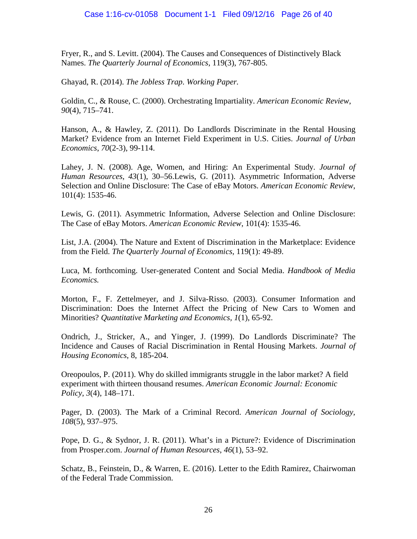Fryer, R., and S. Levitt. (2004). The Causes and Consequences of Distinctively Black Names. *The Quarterly Journal of Economics*, 119(3), 767-805.

Ghayad, R. (2014). *The Jobless Trap*. *Working Paper.*

Goldin, C., & Rouse, C. (2000). Orchestrating Impartiality. *American Economic Review*, *90*(4), 715–741.

Hanson, A., & Hawley, Z. (2011). Do Landlords Discriminate in the Rental Housing Market? Evidence from an Internet Field Experiment in U.S. Cities. *Journal of Urban Economics*, *70*(2-3), 99-114.

Lahey, J. N. (2008). Age, Women, and Hiring: An Experimental Study. *Journal of Human Resources*, *43*(1), 30–56.Lewis, G. (2011). Asymmetric Information, Adverse Selection and Online Disclosure: The Case of eBay Motors. *American Economic Review*, 101(4): 1535-46.

Lewis, G. (2011). Asymmetric Information, Adverse Selection and Online Disclosure: The Case of eBay Motors. *American Economic Review*, 101(4): 1535-46.

List, J.A. (2004). The Nature and Extent of Discrimination in the Marketplace: Evidence from the Field. *The Quarterly Journal of Economics*, 119(1): 49-89.

Luca, M. forthcoming. User-generated Content and Social Media. *Handbook of Media Economics.*

Morton, F., F. Zettelmeyer, and J. Silva-Risso. (2003). Consumer Information and Discrimination: Does the Internet Affect the Pricing of New Cars to Women and Minorities? *Quantitative Marketing and Economics, 1*(1), 65-92.

Ondrich, J., Stricker, A., and Yinger, J. (1999). Do Landlords Discriminate? The Incidence and Causes of Racial Discrimination in Rental Housing Markets. *Journal of Housing Economics*, 8, 185-204.

Oreopoulos, P. (2011). Why do skilled immigrants struggle in the labor market? A field experiment with thirteen thousand resumes. *American Economic Journal: Economic Policy*, *3*(4), 148–171.

Pager, D. (2003). The Mark of a Criminal Record. *American Journal of Sociology, 108*(5), 937–975.

Pope, D. G., & Sydnor, J. R. (2011). What's in a Picture?: Evidence of Discrimination from Prosper.com. *Journal of Human Resources*, *46*(1), 53–92.

Schatz, B., Feinstein, D., & Warren, E. (2016). Letter to the Edith Ramirez, Chairwoman of the Federal Trade Commission.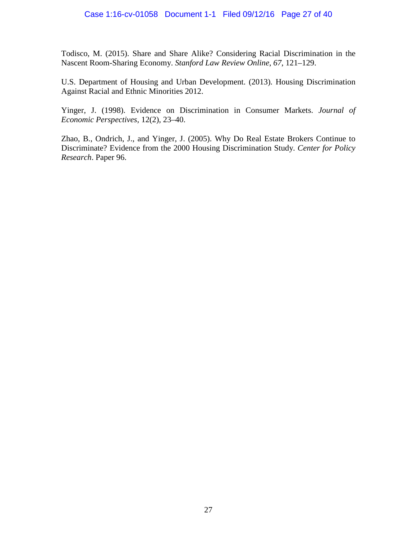Todisco, M. (2015). Share and Share Alike? Considering Racial Discrimination in the Nascent Room-Sharing Economy. *Stanford Law Review Online*, *67*, 121–129.

U.S. Department of Housing and Urban Development. (2013). Housing Discrimination Against Racial and Ethnic Minorities 2012.

Yinger, J. (1998). Evidence on Discrimination in Consumer Markets. *Journal of Economic Perspectives*, 12(2), 23–40.

Zhao, B., Ondrich, J., and Yinger, J. (2005). Why Do Real Estate Brokers Continue to Discriminate? Evidence from the 2000 Housing Discrimination Study. *Center for Policy Research*. Paper 96.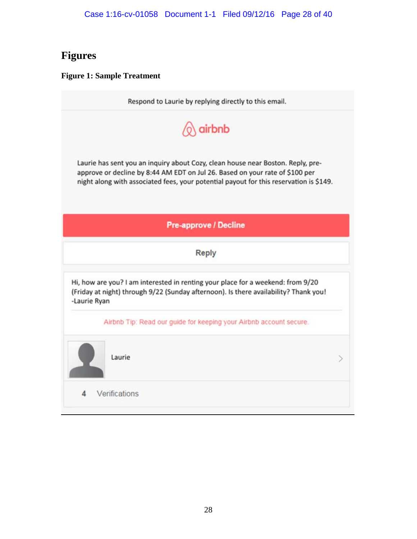# **Figures**

### **Figure 1: Sample Treatment**

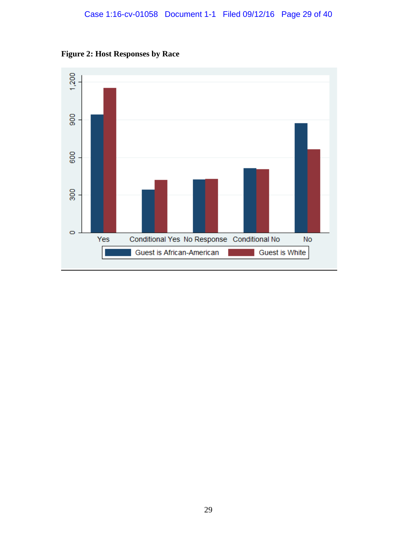# Case 1:16-cv-01058 Document 1-1 Filed 09/12/16 Page 29 of 40



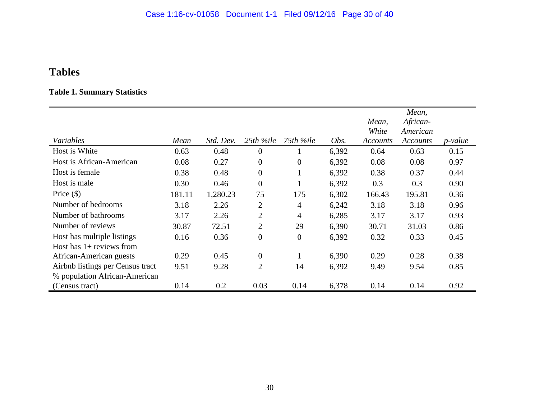# **Tables**

# **Table 1. Summary Statistics**

|                                  |        |           |                  |                |       | Mean,<br>White | Mean,<br>African-<br>American |                |
|----------------------------------|--------|-----------|------------------|----------------|-------|----------------|-------------------------------|----------------|
| Variables                        | Mean   | Std. Dev. | 25th %ile        | 75th %ile      | Obs.  | Accounts       | Accounts                      | <i>p-value</i> |
| Host is White                    | 0.63   | 0.48      | $\overline{0}$   |                | 6,392 | 0.64           | 0.63                          | 0.15           |
| Host is African-American         | 0.08   | 0.27      | $\overline{0}$   | $\overline{0}$ | 6,392 | 0.08           | 0.08                          | 0.97           |
| Host is female                   | 0.38   | 0.48      | $\overline{0}$   | 1              | 6,392 | 0.38           | 0.37                          | 0.44           |
| Host is male                     | 0.30   | 0.46      | $\boldsymbol{0}$ |                | 6,392 | 0.3            | 0.3                           | 0.90           |
| Price $(\$)$                     | 181.11 | 1,280.23  | 75               | 175            | 6,302 | 166.43         | 195.81                        | 0.36           |
| Number of bedrooms               | 3.18   | 2.26      | $\overline{2}$   | 4              | 6,242 | 3.18           | 3.18                          | 0.96           |
| Number of bathrooms              | 3.17   | 2.26      | $\overline{2}$   | $\overline{4}$ | 6,285 | 3.17           | 3.17                          | 0.93           |
| Number of reviews                | 30.87  | 72.51     | $\overline{2}$   | 29             | 6,390 | 30.71          | 31.03                         | 0.86           |
| Host has multiple listings       | 0.16   | 0.36      | $\overline{0}$   | $\overline{0}$ | 6,392 | 0.32           | 0.33                          | 0.45           |
| Host has $1+$ reviews from       |        |           |                  |                |       |                |                               |                |
| African-American guests          | 0.29   | 0.45      | $\overline{0}$   | 1              | 6,390 | 0.29           | 0.28                          | 0.38           |
| Airbnb listings per Census tract | 9.51   | 9.28      | $\overline{2}$   | 14             | 6,392 | 9.49           | 9.54                          | 0.85           |
| % population African-American    |        |           |                  |                |       |                |                               |                |
| (Census tract)                   | 0.14   | 0.2       | 0.03             | 0.14           | 6,378 | 0.14           | 0.14                          | 0.92           |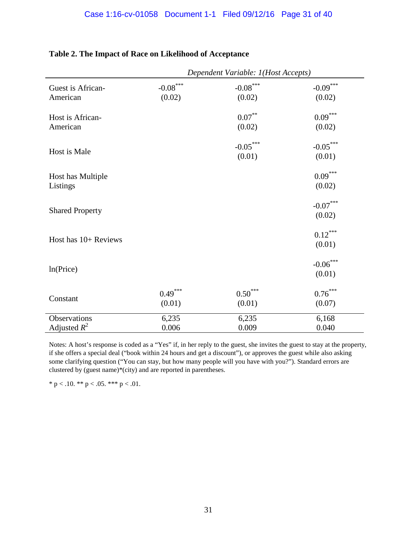|                                |                                           | Dependent Variable: 1(Host Accepts)       |                                           |
|--------------------------------|-------------------------------------------|-------------------------------------------|-------------------------------------------|
| Guest is African-<br>American  | $\textbf{-0.08}^{\ast\ast\ast}$<br>(0.02) | $\textbf{-0.08}^{\ast\ast\ast}$<br>(0.02) | $-0.09***$<br>(0.02)                      |
| Host is African-<br>American   |                                           | $0.07***$<br>(0.02)                       | $0.09^{***}$<br>(0.02)                    |
| Host is Male                   |                                           | $-0.05***$<br>(0.01)                      | $-0.05***$<br>(0.01)                      |
| Host has Multiple<br>Listings  |                                           |                                           | $0.09^{***}$<br>(0.02)                    |
| <b>Shared Property</b>         |                                           |                                           | $\textbf{-0.07}^{\ast\ast\ast}$<br>(0.02) |
| Host has 10+ Reviews           |                                           |                                           | $0.12***$<br>(0.01)                       |
| ln(Price)                      |                                           |                                           | $-0.06***$<br>(0.01)                      |
| Constant                       | $0.49***$<br>(0.01)                       | $0.50^{\ast\ast\ast}$<br>(0.01)           | $0.76^{\ast\ast\ast}$<br>(0.07)           |
| Observations<br>Adjusted $R^2$ | 6,235<br>0.006                            | 6,235<br>0.009                            | 6,168<br>0.040                            |

# **Table 2. The Impact of Race on Likelihood of Acceptance**

Notes: A host's response is coded as a "Yes" if, in her reply to the guest, she invites the guest to stay at the property, if she offers a special deal ("book within 24 hours and get a discount"), or approves the guest while also asking some clarifying question ("You can stay, but how many people will you have with you?"). Standard errors are clustered by (guest name)\*(city) and are reported in parentheses.

\* p < .10. \*\* p < .05. \*\*\* p < .01.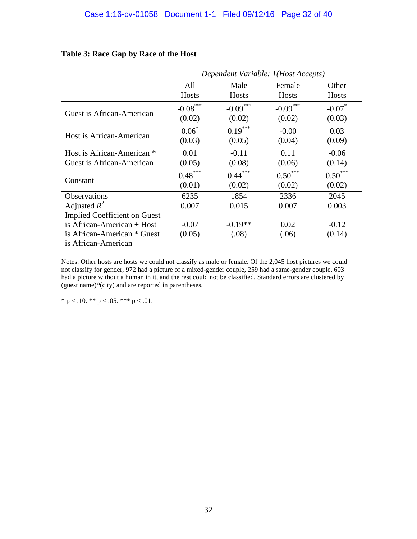|                                     | Dependent Variable: 1(Host Accepts) |              |              |                      |  |  |
|-------------------------------------|-------------------------------------|--------------|--------------|----------------------|--|--|
|                                     | All                                 | Male         | Female       | Other                |  |  |
|                                     | Hosts                               | <b>Hosts</b> | <b>Hosts</b> | <b>Hosts</b>         |  |  |
| Guest is African-American           | $-0.08***$                          | $-0.09***$   | $-0.09$ ***  | $-0.07$ <sup>*</sup> |  |  |
|                                     | (0.02)                              | (0.02)       | (0.02)       | (0.03)               |  |  |
| Host is African-American            | $0.06*$                             | $0.19***$    | $-0.00$      | 0.03                 |  |  |
|                                     | (0.03)                              | (0.05)       | (0.04)       | (0.09)               |  |  |
| Host is African-American *          | 0.01                                | $-0.11$      | 0.11         | $-0.06$              |  |  |
| Guest is African-American           | (0.05)                              | (0.08)       | (0.06)       | (0.14)               |  |  |
| Constant                            | $0.48***$                           | $0.44***$    | $0.50***$    | $0.50^{***}$         |  |  |
|                                     | (0.01)                              | (0.02)       | (0.02)       | (0.02)               |  |  |
| Observations                        | 6235                                | 1854         | 2336         | 2045                 |  |  |
| Adjusted $R^2$                      | 0.007                               | 0.015        | 0.007        | 0.003                |  |  |
| <b>Implied Coefficient on Guest</b> |                                     |              |              |                      |  |  |
| is African-American $+$ Host        | $-0.07$                             | $-0.19**$    | 0.02         | $-0.12$              |  |  |
| is African-American * Guest         | (0.05)                              | (.08)        | (.06)        | (0.14)               |  |  |
| is African-American                 |                                     |              |              |                      |  |  |

# **Table 3: Race Gap by Race of the Host**

Notes: Other hosts are hosts we could not classify as male or female. Of the 2,045 host pictures we could not classify for gender, 972 had a picture of a mixed-gender couple, 259 had a same-gender couple, 603 had a picture without a human in it, and the rest could not be classified. Standard errors are clustered by (guest name)\*(city) and are reported in parentheses.

\* p < .10. \*\* p < .05. \*\*\* p < .01.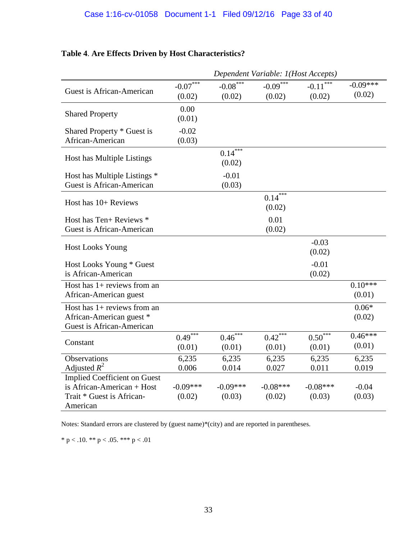<span id="page-51-0"></span>

| Table 4. Are Effects Driven by Host Characteristics? |  |  |
|------------------------------------------------------|--|--|
|                                                      |  |  |

|                                                                                                            | Dependent Variable: 1(Host Accepts) |                                   |                           |                                   |                      |
|------------------------------------------------------------------------------------------------------------|-------------------------------------|-----------------------------------|---------------------------|-----------------------------------|----------------------|
| Guest is African-American                                                                                  | $-0.07$ ***<br>(0.02)               | $-0.08***$<br>(0.02)              | $-0.09***$<br>(0.02)      | $-0.11$ <sup>***</sup><br>(0.02)  | $-0.09***$<br>(0.02) |
| <b>Shared Property</b>                                                                                     | 0.00<br>(0.01)                      |                                   |                           |                                   |                      |
| Shared Property * Guest is<br>African-American                                                             | $-0.02$<br>(0.03)                   |                                   |                           |                                   |                      |
| Host has Multiple Listings                                                                                 |                                     | $0.14***$<br>(0.02)               |                           |                                   |                      |
| Host has Multiple Listings *<br>Guest is African-American                                                  |                                     | $-0.01$<br>(0.03)                 |                           |                                   |                      |
| Host has $10+$ Reviews                                                                                     |                                     |                                   | $0.14$ ***<br>(0.02)      |                                   |                      |
| Host has Ten+ Reviews *<br>Guest is African-American                                                       |                                     |                                   | 0.01<br>(0.02)            |                                   |                      |
| <b>Host Looks Young</b>                                                                                    |                                     |                                   |                           | $-0.03$<br>(0.02)                 |                      |
| Host Looks Young * Guest<br>is African-American                                                            |                                     |                                   |                           | $-0.01$<br>(0.02)                 |                      |
| Host has $1+$ reviews from an<br>African-American guest                                                    |                                     |                                   |                           |                                   | $0.10***$<br>(0.01)  |
| Host has $1+$ reviews from an<br>African-American guest *<br><b>Guest is African-American</b>              |                                     |                                   |                           |                                   | $0.06*$<br>(0.02)    |
| Constant                                                                                                   | $0.49$ ***<br>(0.01)                | $0.46^{\overline{***}}$<br>(0.01) | $0.42 \sqrt{*}$<br>(0.01) | $0.50^{\overline{***}}$<br>(0.01) | $0.46***$<br>(0.01)  |
| <b>Observations</b><br>Adjusted $R^2$                                                                      | 6,235<br>0.006                      | 6,235<br>0.014                    | 6,235<br>0.027            | 6,235<br>0.011                    | 6,235<br>0.019       |
| <b>Implied Coefficient on Guest</b><br>is African-American + Host<br>Trait * Guest is African-<br>American | $-0.09***$<br>(0.02)                | $-0.09***$<br>(0.03)              | $-0.08***$<br>(0.02)      | $-0.08***$<br>(0.03)              | $-0.04$<br>(0.03)    |

Notes: Standard errors are clustered by (guest name)\*(city) and are reported in parentheses.

\* p < .10. \*\* p < .05. \*\*\* p < .01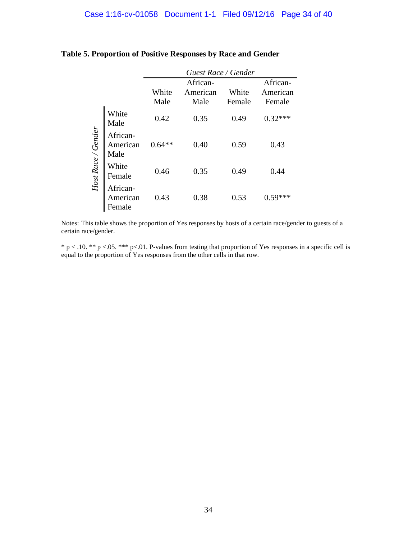|                    |                                | Guest Race / Gender |          |        |           |  |  |
|--------------------|--------------------------------|---------------------|----------|--------|-----------|--|--|
|                    |                                |                     | African- |        | African-  |  |  |
|                    |                                | White               | American | White  | American  |  |  |
|                    |                                | Male                | Male     | Female | Female    |  |  |
|                    | White<br>Male                  | 0.42                | 0.35     | 0.49   | $0.32***$ |  |  |
| Host Race / Gender | African-<br>American<br>Male   | $0.64**$            | 0.40     | 0.59   | 0.43      |  |  |
|                    | White<br>Female                | 0.46                | 0.35     | 0.49   | 0.44      |  |  |
|                    | African-<br>American<br>Female | 0.43                | 0.38     | 0.53   |           |  |  |

# **Table 5. Proportion of Positive Responses by Race and Gender**

Notes: This table shows the proportion of Yes responses by hosts of a certain race/gender to guests of a certain race/gender.

\* p < .10. \*\* p <.05. \*\*\* p<.01. P-values from testing that proportion of Yes responses in a specific cell is equal to the proportion of Yes responses from the other cells in that row.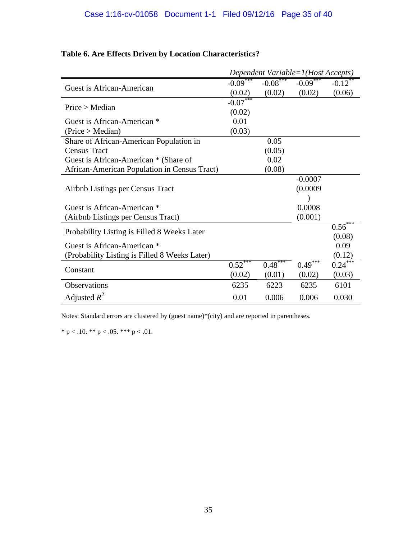|                                               |                        |             | Dependent Variable=1(Host Accepts) |                      |
|-----------------------------------------------|------------------------|-------------|------------------------------------|----------------------|
|                                               | $-0.09$ ***            | $-0.08$ *** | $-0.09$ <sup>***</sup>             | $-0.12$ <sup>*</sup> |
| Guest is African-American                     | (0.02)                 | (0.02)      | (0.02)                             | (0.06)               |
| Price > Median                                | $-0.07$ <sup>***</sup> |             |                                    |                      |
|                                               | (0.02)                 |             |                                    |                      |
| Guest is African-American *                   | 0.01                   |             |                                    |                      |
| (Price > Median)                              | (0.03)                 |             |                                    |                      |
| Share of African-American Population in       |                        | 0.05        |                                    |                      |
| <b>Census Tract</b>                           |                        | (0.05)      |                                    |                      |
| Guest is African-American * (Share of         |                        | 0.02        |                                    |                      |
| African-American Population in Census Tract)  |                        | (0.08)      |                                    |                      |
|                                               |                        |             | $-0.0007$                          |                      |
| Airbnb Listings per Census Tract              |                        |             | (0.0009)                           |                      |
|                                               |                        |             |                                    |                      |
| Guest is African-American *                   |                        |             | 0.0008                             |                      |
| (Airbnb Listings per Census Tract)            |                        |             | (0.001)                            |                      |
| Probability Listing is Filled 8 Weeks Later   |                        |             |                                    | $0.56***$            |
|                                               |                        |             |                                    | (0.08)               |
| Guest is African-American *                   |                        |             |                                    | 0.09                 |
| (Probability Listing is Filled 8 Weeks Later) |                        |             |                                    | (0.12)               |
| Constant                                      | $0.52***$              | $0.48***$   | $0.49***$                          | $0.24***$            |
|                                               | (0.02)                 | (0.01)      | (0.02)                             | (0.03)               |
| Observations                                  | 6235                   | 6223        | 6235                               | 6101                 |
| Adjusted $R^2$                                | 0.01                   | 0.006       | 0.006                              | 0.030                |

# **Table 6. Are Effects Driven by Location Characteristics?**

Notes: Standard errors are clustered by (guest name)\*(city) and are reported in parentheses.

\* p < .10. \*\* p < .05. \*\*\* p < .01.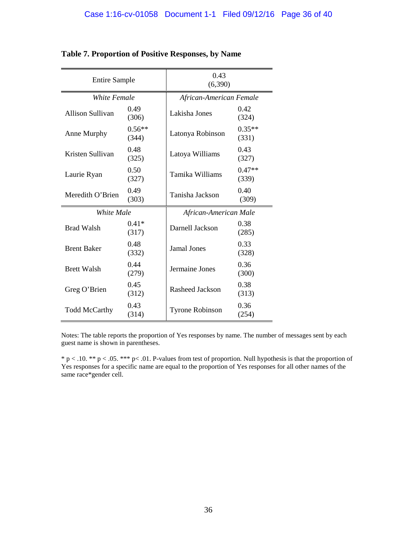| <b>Entire Sample</b>    |                   | 0.43<br>(6,390)         |                   |  |  |
|-------------------------|-------------------|-------------------------|-------------------|--|--|
| White Female            |                   | African-American Female |                   |  |  |
| <b>Allison Sullivan</b> | 0.49<br>(306)     | Lakisha Jones           | 0.42<br>(324)     |  |  |
| Anne Murphy             | $0.56**$<br>(344) | Latonya Robinson        | $0.35**$<br>(331) |  |  |
| Kristen Sullivan        | 0.48<br>(325)     | Latoya Williams         | 0.43<br>(327)     |  |  |
| Laurie Ryan             | 0.50<br>(327)     | Tamika Williams         | $0.47**$<br>(339) |  |  |
| Meredith O'Brien        | 0.49<br>(303)     | Tanisha Jackson         | 0.40<br>(309)     |  |  |
| White Male              |                   | African-American Male   |                   |  |  |
| <b>Brad Walsh</b>       | $0.41*$<br>(317)  | Darnell Jackson         | 0.38<br>(285)     |  |  |
| <b>Brent Baker</b>      | 0.48<br>(332)     | <b>Jamal Jones</b>      | 0.33<br>(328)     |  |  |
| <b>Brett Walsh</b>      | 0.44<br>(279)     | Jermaine Jones          | 0.36<br>(300)     |  |  |
| Greg O'Brien            | 0.45<br>(312)     | <b>Rasheed Jackson</b>  | 0.38<br>(313)     |  |  |
| <b>Todd McCarthy</b>    | 0.43<br>(314)     | <b>Tyrone Robinson</b>  | 0.36<br>(254)     |  |  |

## **Table 7. Proportion of Positive Responses, by Name**

Notes: The table reports the proportion of Yes responses by name. The number of messages sent by each guest name is shown in parentheses.

\* p < .10. \*\* p < .05. \*\*\* p< .01. P-values from test of proportion. Null hypothesis is that the proportion of Yes responses for a specific name are equal to the proportion of Yes responses for all other names of the same race\*gender cell.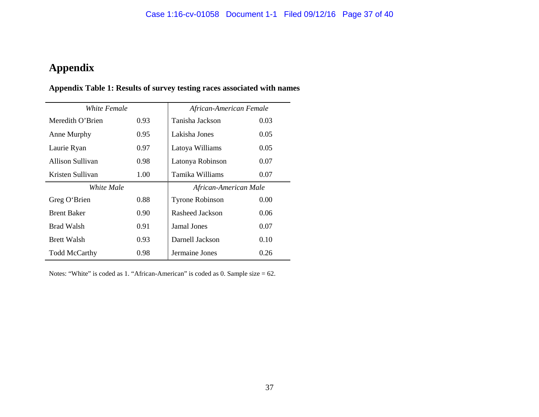# **Appendix**

# **Appendix Table 1: Results of survey testing races associated with names**

| White Female         |      | African-American Female |      |  |  |
|----------------------|------|-------------------------|------|--|--|
| Meredith O'Brien     | 0.93 | Tanisha Jackson         | 0.03 |  |  |
| Anne Murphy          | 0.95 | Lakisha Jones           | 0.05 |  |  |
| Laurie Ryan          | 0.97 | Latoya Williams         | 0.05 |  |  |
| Allison Sullivan     | 0.98 | Latonya Robinson        | 0.07 |  |  |
| Kristen Sullivan     | 1.00 | Tamika Williams         | 0.07 |  |  |
| White Male           |      | African-American Male   |      |  |  |
| Greg O'Brien         | 0.88 | <b>Tyrone Robinson</b>  | 0.00 |  |  |
| <b>Brent Baker</b>   | 0.90 | Rasheed Jackson         | 0.06 |  |  |
| <b>Brad Walsh</b>    | 0.91 | <b>Jamal Jones</b>      | 0.07 |  |  |
| <b>Brett Walsh</b>   | 0.93 | Darnell Jackson         | 0.10 |  |  |
| <b>Todd McCarthy</b> | 0.98 | Jermaine Jones          | 0.26 |  |  |

Notes: "White" is coded as 1. "African-American" is coded as 0. Sample size = 62.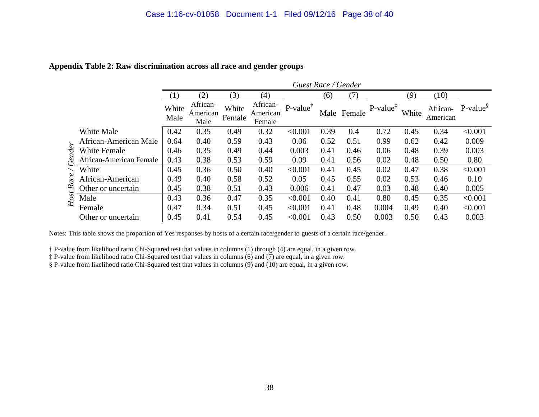|        |                         |               | Guest Race / Gender          |                 |                                |                     |      |        |                      |       |          |                               |
|--------|-------------------------|---------------|------------------------------|-----------------|--------------------------------|---------------------|------|--------|----------------------|-------|----------|-------------------------------|
|        |                         |               | (2)                          | (3)             | (4)                            |                     | (6)  | (7)    |                      | (9)   | (10)     |                               |
|        |                         | White<br>Male | African-<br>American<br>Male | White<br>Female | African-<br>American<br>Female | $P-value^{\dagger}$ | Male | Female | $P-value^{\ddagger}$ | White | American | African- P-value <sup>§</sup> |
|        | White Male              | 0.42          | 0.35                         | 0.49            | 0.32                           | < 0.001             | 0.39 | 0.4    | 0.72                 | 0.45  | 0.34     | < 0.001                       |
|        | African-American Male   | 0.64          | 0.40                         | 0.59            | 0.43                           | 0.06                | 0.52 | 0.51   | 0.99                 | 0.62  | 0.42     | 0.009                         |
|        | <b>White Female</b>     | 0.46          | 0.35                         | 0.49            | 0.44                           | 0.003               | 0.41 | 0.46   | 0.06                 | 0.48  | 0.39     | 0.003                         |
| Gender | African-American Female | 0.43          | 0.38                         | 0.53            | 0.59                           | 0.09                | 0.41 | 0.56   | 0.02                 | 0.48  | 0.50     | 0.80                          |
|        | White                   | 0.45          | 0.36                         | 0.50            | 0.40                           | < 0.001             | 0.41 | 0.45   | 0.02                 | 0.47  | 0.38     | < 0.001                       |
| Race   | African-American        | 0.49          | 0.40                         | 0.58            | 0.52                           | 0.05                | 0.45 | 0.55   | 0.02                 | 0.53  | 0.46     | 0.10                          |
|        | Other or uncertain      | 0.45          | 0.38                         | 0.51            | 0.43                           | 0.006               | 0.41 | 0.47   | 0.03                 | 0.48  | 0.40     | 0.005                         |
| Host   | Male                    | 0.43          | 0.36                         | 0.47            | 0.35                           | < 0.001             | 0.40 | 0.41   | 0.80                 | 0.45  | 0.35     | < 0.001                       |
|        | Female                  | 0.47          | 0.34                         | 0.51            | 0.45                           | < 0.001             | 0.41 | 0.48   | 0.004                | 0.49  | 0.40     | < 0.001                       |
|        | Other or uncertain      | 0.45          | 0.41                         | 0.54            | 0.45                           | < 0.001             | 0.43 | 0.50   | 0.003                | 0.50  | 0.43     | 0.003                         |

### **Appendix Table 2: Raw discrimination across all race and gender groups**

Notes: This table shows the proportion of Yes responses by hosts of a certain race/gender to guests of a certain race/gender.

† P-value from likelihood ratio Chi-Squared test that values in columns (1) through (4) are equal, in a given row.

‡ P-value from likelihood ratio Chi-Squared test that values in columns (6) and (7) are equal, in a given row.

§ P-value from likelihood ratio Chi-Squared test that values in columns (9) and (10) are equal, in a given row.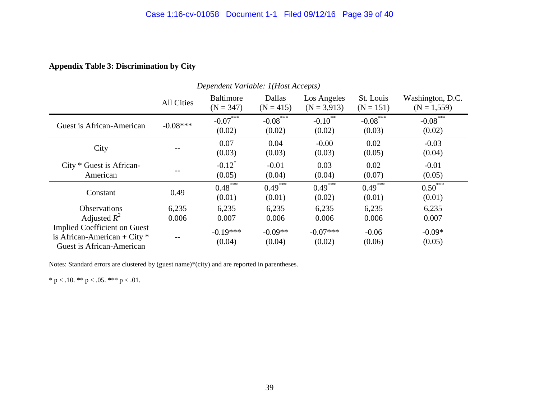## **Appendix Table 3: Discrimination by City**

| Dependent Variable: 1(Host Accepts)                                                                |            |                                 |                       |                              |                          |                                   |
|----------------------------------------------------------------------------------------------------|------------|---------------------------------|-----------------------|------------------------------|--------------------------|-----------------------------------|
|                                                                                                    | All Cities | <b>Baltimore</b><br>$(N = 347)$ | Dallas<br>$(N = 415)$ | Los Angeles<br>$(N = 3,913)$ | St. Louis<br>$(N = 151)$ | Washington, D.C.<br>$(N = 1,559)$ |
| Guest is African-American                                                                          | $-0.08***$ | $-0.07***$<br>(0.02)            | $-0.08***$<br>(0.02)  | $-0.10$ **<br>(0.02)         | $-0.08$ ***<br>(0.03)    | $-0.08***$<br>(0.02)              |
| City                                                                                               |            | 0.07<br>(0.03)                  | 0.04<br>(0.03)        | $-0.00$<br>(0.03)            | 0.02<br>(0.05)           | $-0.03$<br>(0.04)                 |
| $City * Gust is African-$<br>American                                                              |            | $-0.12$ <sup>*</sup><br>(0.05)  | $-0.01$<br>(0.04)     | 0.03<br>(0.04)               | 0.02<br>(0.07)           | $-0.01$<br>(0.05)                 |
| Constant                                                                                           | 0.49       | $0.48***$<br>(0.01)             | $0.49***$<br>(0.01)   | $0.49***$<br>(0.02)          | $0.49***$<br>(0.01)      | $0.50***$<br>(0.01)               |
| Observations                                                                                       | 6,235      | 6,235                           | 6,235                 | 6,235                        | 6,235                    | 6,235                             |
| Adjusted $R^2$                                                                                     | 0.006      | 0.007                           | 0.006                 | 0.006                        | 0.006                    | 0.007                             |
| <b>Implied Coefficient on Guest</b><br>is African-American + City $*$<br>Guest is African-American |            | $-0.19***$<br>(0.04)            | $-0.09**$<br>(0.04)   | $-0.07***$<br>(0.02)         | $-0.06$<br>(0.06)        | $-0.09*$<br>(0.05)                |

Notes: Standard errors are clustered by (guest name)\*(city) and are reported in parentheses.

\* p < .10. \*\* p < .05. \*\*\* p < .01.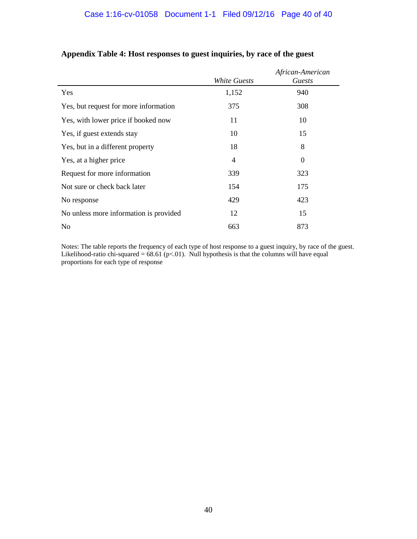|                                        | White Guests | African-American<br>Guests |
|----------------------------------------|--------------|----------------------------|
| Yes                                    | 1,152        | 940                        |
| Yes, but request for more information  | 375          | 308                        |
| Yes, with lower price if booked now    | 11           | 10                         |
| Yes, if guest extends stay             | 10           | 15                         |
| Yes, but in a different property       | 18           | 8                          |
| Yes, at a higher price                 | 4            | $\boldsymbol{0}$           |
| Request for more information           | 339          | 323                        |
| Not sure or check back later           | 154          | 175                        |
| No response                            | 429          | 423                        |
| No unless more information is provided | 12           | 15                         |
| N <sub>0</sub>                         | 663          | 873                        |

# **Appendix Table 4: Host responses to guest inquiries, by race of the guest**

Notes: The table reports the frequency of each type of host response to a guest inquiry, by race of the guest. Likelihood-ratio chi-squared =  $68.61$  (p<.01). Null hypothesis is that the columns will have equal proportions for each type of response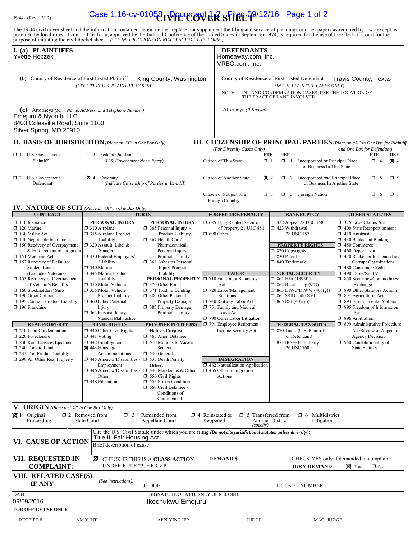# **IS 44** (Rev. 12/12) **Case 1:16-cv-01058 DOCUMER SHEEP** 09/12/16 Page 1 of 2

The JS 44 civil cover sheet and the information contained herein neither replace nor supplement the filing and service of pleadings or other papers as required by law, except as provided by local rules of court. This form,

| I. (a) PLAINTIFFS<br>Yvette Hobzek<br>(b) County of Residence of First Listed Plaintiff<br>King County, Washington<br>(EXCEPT IN U.S. PLAINTIFF CASES)                                                         |                                                                                                                                                                                                                  |                                                                                                                                                                                                                                  | <b>DEFENDANTS</b><br>Homeaway.com, Inc.<br>VRBO.com, Inc.                                                                                                                                                 |                                                                                                                                                        |                                                                                                                                                                                                                                                                                                                               |                                                                                                                                                                                                                                                  |  |
|----------------------------------------------------------------------------------------------------------------------------------------------------------------------------------------------------------------|------------------------------------------------------------------------------------------------------------------------------------------------------------------------------------------------------------------|----------------------------------------------------------------------------------------------------------------------------------------------------------------------------------------------------------------------------------|-----------------------------------------------------------------------------------------------------------------------------------------------------------------------------------------------------------|--------------------------------------------------------------------------------------------------------------------------------------------------------|-------------------------------------------------------------------------------------------------------------------------------------------------------------------------------------------------------------------------------------------------------------------------------------------------------------------------------|--------------------------------------------------------------------------------------------------------------------------------------------------------------------------------------------------------------------------------------------------|--|
|                                                                                                                                                                                                                |                                                                                                                                                                                                                  |                                                                                                                                                                                                                                  | County of Residence of First Listed Defendant<br><b>Travis County, Texas</b><br>(IN U.S. PLAINTIFF CASES ONLY)<br>IN LAND CONDEMNATION CASES, USE THE LOCATION OF<br>NOTE:<br>THE TRACT OF LAND INVOLVED. |                                                                                                                                                        |                                                                                                                                                                                                                                                                                                                               |                                                                                                                                                                                                                                                  |  |
| (c) Attorneys (Firm Name, Address, and Telephone Number)<br>Emejuru & Nyombi LLC<br>8403 Colesville Road, Suite 1100<br>Silver Spring, MD 20910                                                                |                                                                                                                                                                                                                  |                                                                                                                                                                                                                                  |                                                                                                                                                                                                           | Attorneys (If Known)                                                                                                                                   |                                                                                                                                                                                                                                                                                                                               |                                                                                                                                                                                                                                                  |  |
| <b>II. BASIS OF JURISDICTION</b> (Place an "X" in One Box Only)                                                                                                                                                |                                                                                                                                                                                                                  |                                                                                                                                                                                                                                  |                                                                                                                                                                                                           |                                                                                                                                                        |                                                                                                                                                                                                                                                                                                                               | <b>III. CITIZENSHIP OF PRINCIPAL PARTIES</b> (Place an "X" in One Box for Plaintiff                                                                                                                                                              |  |
| $\Box$ 1 U.S. Government<br>Plaintiff                                                                                                                                                                          | $\Box$ 3 Federal Question<br>(U.S. Government Not a Party)                                                                                                                                                       |                                                                                                                                                                                                                                  |                                                                                                                                                                                                           | (For Diversity Cases Only)<br><b>PTF</b><br>Citizen of This State<br>$\Box$ 1                                                                          | <b>DEF</b><br>$\Box$ 1                                                                                                                                                                                                                                                                                                        | and One Box for Defendant)<br>PTF<br>DEF<br><b>X</b> 4<br>Incorporated or Principal Place<br>$\Box$ 4<br>of Business In This State                                                                                                               |  |
| $\Box$ 2 U.S. Government<br>Defendant                                                                                                                                                                          | $\boxtimes$ 4 Diversity<br>(Indicate Citizenship of Parties in Item III)                                                                                                                                         |                                                                                                                                                                                                                                  |                                                                                                                                                                                                           | Citizen of Another State                                                                                                                               | $\mathbf{X}$ 2<br>$\Box$ 2 Incorporated <i>and</i> Principal Place                                                                                                                                                                                                                                                            | $\square$ 5<br>$\Box$ 5<br>of Business In Another State                                                                                                                                                                                          |  |
|                                                                                                                                                                                                                |                                                                                                                                                                                                                  |                                                                                                                                                                                                                                  |                                                                                                                                                                                                           | Citizen or Subject of a<br>$\Box$ 3<br>Foreign Country                                                                                                 | $\Box$ 3 Foreign Nation                                                                                                                                                                                                                                                                                                       | $\Box$ 6<br>$\Box$ 6                                                                                                                                                                                                                             |  |
| <b>IV. NATURE OF SUIT</b> (Place an "X" in One Box Only)                                                                                                                                                       |                                                                                                                                                                                                                  |                                                                                                                                                                                                                                  |                                                                                                                                                                                                           |                                                                                                                                                        |                                                                                                                                                                                                                                                                                                                               |                                                                                                                                                                                                                                                  |  |
| <b>CONTRACT</b><br>$\Box$ 110 Insurance                                                                                                                                                                        | PERSONAL INJURY                                                                                                                                                                                                  | <b>TORTS</b><br>PERSONAL INJURY                                                                                                                                                                                                  |                                                                                                                                                                                                           | <b>FORFEITURE/PENALTY</b>                                                                                                                              | <b>BANKRUPTCY</b><br>$\Box$ 422 Appeal 28 USC 158                                                                                                                                                                                                                                                                             | <b>OTHER STATUTES</b><br>375 False Claims Act                                                                                                                                                                                                    |  |
| $\Box$ 120 Marine<br>130 Miller Act<br>$\Box$ 140 Negotiable Instrument<br>$\Box$ 150 Recovery of Overpayment<br>& Enforcement of Judgment<br>151 Medicare Act<br>□ 152 Recovery of Defaulted                  | $\Box$ 310 Airplane<br>$\Box$ 315 Airplane Product<br>Liability<br>□ 320 Assault, Libel &<br>Slander<br>□ 330 Federal Employers'<br>Liability                                                                    | 365 Personal Injury -<br>Product Liability<br>367 Health Care/<br>Pharmaceutical<br>Personal Injury<br>Product Liability<br>368 Asbestos Personal                                                                                | □ 625 Drug Related Seizure<br>of Property 21 USC 881<br>$\Box$ 690 Other                                                                                                                                  |                                                                                                                                                        | $\Box$ 423 Withdrawal<br>$\Box$ 400 State Reapportionment<br>28 USC 157<br>$\Box$ 410 Antitrust<br>$\Box$ 430 Banks and Banking<br><b>PROPERTY RIGHTS</b><br>450 Commerce<br>$\Box$ 460 Deportation<br>$\Box$ 820 Copyrights<br>□ 830 Patent<br>470 Racketeer Influenced and<br>$\Box$ 840 Trademark<br>Corrupt Organizations |                                                                                                                                                                                                                                                  |  |
| <b>Student Loans</b><br>(Excludes Veterans)<br>153 Recovery of Overpayment<br>of Veteran's Benefits<br>160 Stockholders' Suits<br>190 Other Contract<br>195 Contract Product Liability<br>$\Box$ 196 Franchise | □ 340 Marine<br>345 Marine Product<br>Liability<br>□ 350 Motor Vehicle<br>□ 355 Motor Vehicle<br><b>Product Liability</b><br>360 Other Personal<br>Injury<br>$\Box$ 362 Personal Injury -<br>Medical Malpractice | <b>Injury Product</b><br>Liability<br>PERSONAL PROPERTY   710 Fair Labor Standards<br>370 Other Fraud<br>$\Box$ 371 Truth in Lending<br>380 Other Personal<br><b>Property Damage</b><br>385 Property Damage<br>Product Liability |                                                                                                                                                                                                           | <b>LABOR</b><br>Act<br>720 Labor/Management<br>Relations<br>740 Railway Labor Act<br>751 Family and Medical<br>Leave Act<br>790 Other Labor Litigation | <b>SOCIAL SECURITY</b><br>$\Box$ 861 HIA (1395ff)<br><b>1</b> 862 Black Lung (923)<br>$\Box$ 863 DIWC/DIWW (405(g))<br>$\Box$ 864 SSID Title XVI<br>$\Box$ 865 RSI (405(g))                                                                                                                                                   | 480 Consumer Credit<br>490 Cable/Sat TV<br>□ 850 Securities/Commodities/<br>Exchange<br>1 890 Other Statutory Actions<br>□ 891 Agricultural Acts<br>□ 893 Environmental Matters<br>$\Box$ 895 Freedom of Information<br>Act<br>□ 896 Arbitration |  |
| <b>REAL PROPERTY</b>                                                                                                                                                                                           | <b>CIVIL RIGHTS</b>                                                                                                                                                                                              | <b>PRISONER PETITIONS</b>                                                                                                                                                                                                        |                                                                                                                                                                                                           | 791 Employee Retirement                                                                                                                                | <b>FEDERAL TAX SUITS</b>                                                                                                                                                                                                                                                                                                      | □ 899 Administrative Procedure                                                                                                                                                                                                                   |  |
| 210 Land Condemnation<br>220 Foreclosure<br>□ 230 Rent Lease & Ejectment<br>$\Box$ 240 Torts to Land<br>245 Tort Product Liability                                                                             | $\Box$ 440 Other Civil Rights<br>$\Box$ 441 Voting<br>$\Box$ 442 Employment<br>$\boxtimes$ 443 Housing/<br>Accommodations                                                                                        | <b>Habeas Corpus:</b><br>$\Box$ 463 Alien Detainee<br>$\Box$ 510 Motions to Vacate<br>Sentence<br>$\Box$ 530 General                                                                                                             |                                                                                                                                                                                                           | Income Security Act                                                                                                                                    | □ 870 Taxes (U.S. Plaintiff<br>or Defendant)<br>□ 871 IRS-Third Party<br>26 USC 7609                                                                                                                                                                                                                                          | Act/Review or Appeal of<br><b>Agency Decision</b><br>$\Box$ 950 Constitutionality of<br><b>State Statutes</b>                                                                                                                                    |  |
| 290 All Other Real Property                                                                                                                                                                                    | $\Box$ 445 Amer. w/Disabilities<br>Employment<br>$\Box$ 446 Amer. w/Disabilities<br>Other<br>448 Education                                                                                                       | 535 Death Penalty<br>Other:<br>$\Box$ 540 Mandamus & Other<br>$\Box$ 550 Civil Rights<br>555 Prison Condition<br>560 Civil Detainee -<br>Conditions of<br>Confinement                                                            |                                                                                                                                                                                                           | <b>IMMIGRATION</b><br>462 Naturalization Application<br>$\Box$ 465 Other Immigration<br>Actions                                                        |                                                                                                                                                                                                                                                                                                                               |                                                                                                                                                                                                                                                  |  |
| V. ORIGIN (Place an "X" in One Box Only)<br>$\boxtimes$ 1 Original<br>Proceeding                                                                                                                               | $\Box$ 2 Removed from<br>$\Box$ 3<br><b>State Court</b>                                                                                                                                                          | Remanded from<br>Appellate Court                                                                                                                                                                                                 |                                                                                                                                                                                                           | $\Box$ 4 Reinstated or $\Box$ 5 Transferred from<br>Reopened<br>(specify)                                                                              | $\Box$ 6 Multidistrict<br>Another District<br>Litigation                                                                                                                                                                                                                                                                      |                                                                                                                                                                                                                                                  |  |
| VI. CAUSE OF ACTION                                                                                                                                                                                            | Title II, Fair Housing Act,<br>Brief description of cause:                                                                                                                                                       | Cite the U.S. Civil Statute under which you are filing (Do not cite jurisdictional statutes unless diversity):                                                                                                                   |                                                                                                                                                                                                           |                                                                                                                                                        |                                                                                                                                                                                                                                                                                                                               |                                                                                                                                                                                                                                                  |  |
| VII. REQUESTED IN<br><b>X</b> CHECK IF THIS IS A CLASS ACTION<br><b>COMPLAINT:</b><br>UNDER RULE 23, F.R.Cv.P.                                                                                                 |                                                                                                                                                                                                                  |                                                                                                                                                                                                                                  |                                                                                                                                                                                                           | <b>DEMAND</b> \$                                                                                                                                       | CHECK YES only if demanded in complaint:<br>$\times$ Yes<br><b>JURY DEMAND:</b><br>$\square$ No                                                                                                                                                                                                                               |                                                                                                                                                                                                                                                  |  |
| VIII. RELATED CASE(S)<br>IF ANY                                                                                                                                                                                | (See instructions):                                                                                                                                                                                              | <b>JUDGE</b>                                                                                                                                                                                                                     |                                                                                                                                                                                                           |                                                                                                                                                        | DOCKET NUMBER                                                                                                                                                                                                                                                                                                                 |                                                                                                                                                                                                                                                  |  |
| <b>DATE</b><br>09/09/2016<br><b>FOR OFFICE USE ONLY</b>                                                                                                                                                        |                                                                                                                                                                                                                  | SIGNATURE OF ATTORNEY OF RECORD<br>Ikechukwu Emejuru                                                                                                                                                                             |                                                                                                                                                                                                           |                                                                                                                                                        |                                                                                                                                                                                                                                                                                                                               |                                                                                                                                                                                                                                                  |  |
| <b>RECEIPT#</b>                                                                                                                                                                                                | <b>AMOUNT</b>                                                                                                                                                                                                    | <b>APPLYING IFP</b>                                                                                                                                                                                                              |                                                                                                                                                                                                           | <b>JUDGE</b>                                                                                                                                           |                                                                                                                                                                                                                                                                                                                               | MAG. JUDGE                                                                                                                                                                                                                                       |  |